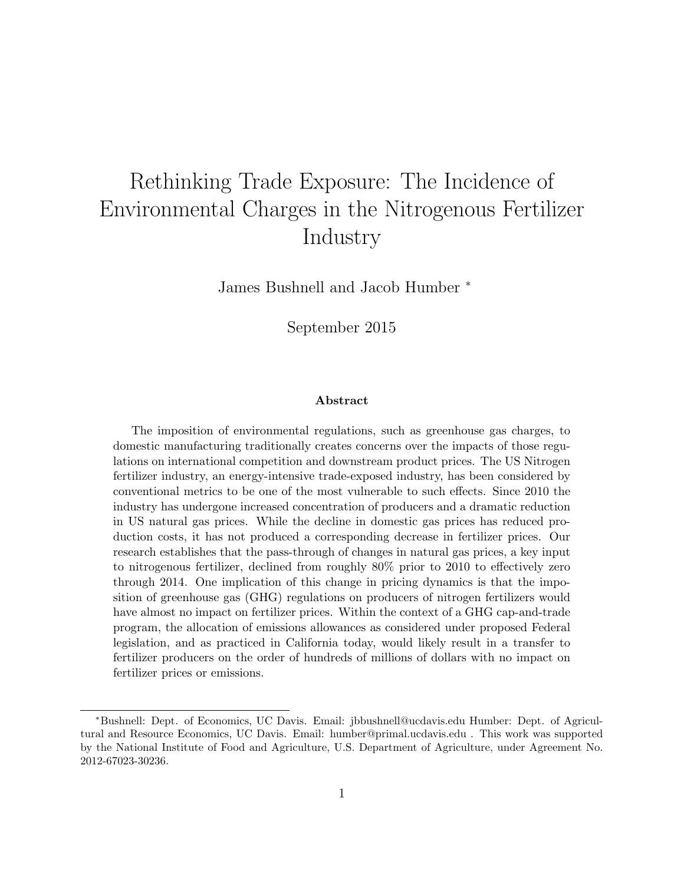# Rethinking Trade Exposure: The Incidence of Environmental Charges in the Nitrogenous Fertilizer Industry

James Bushnell and Jacob Humber <sup>∗</sup>

September 2015

#### Abstract

The imposition of environmental regulations, such as greenhouse gas charges, to domestic manufacturing traditionally creates concerns over the impacts of those regulations on international competition and downstream product prices. The US Nitrogen fertilizer industry, an energy-intensive trade-exposed industry, has been considered by conventional metrics to be one of the most vulnerable to such effects. Since 2010 the industry has undergone increased concentration of producers and a dramatic reduction in US natural gas prices. While the decline in domestic gas prices has reduced production costs, it has not produced a corresponding decrease in fertilizer prices. Our research establishes that the pass-through of changes in natural gas prices, a key input to nitrogenous fertilizer, declined from roughly 80% prior to 2010 to effectively zero through 2014. One implication of this change in pricing dynamics is that the imposition of greenhouse gas (GHG) regulations on producers of nitrogen fertilizers would have almost no impact on fertilizer prices. Within the context of a GHG cap-and-trade program, the allocation of emissions allowances as considered under proposed Federal legislation, and as practiced in California today, would likely result in a transfer to fertilizer producers on the order of hundreds of millions of dollars with no impact on fertilizer prices or emissions.

<sup>∗</sup>Bushnell: Dept. of Economics, UC Davis. Email: jbbushnell@ucdavis.edu Humber: Dept. of Agricultural and Resource Economics, UC Davis. Email: humber@primal.ucdavis.edu . This work was supported by the National Institute of Food and Agriculture, U.S. Department of Agriculture, under Agreement No. 2012-67023-30236.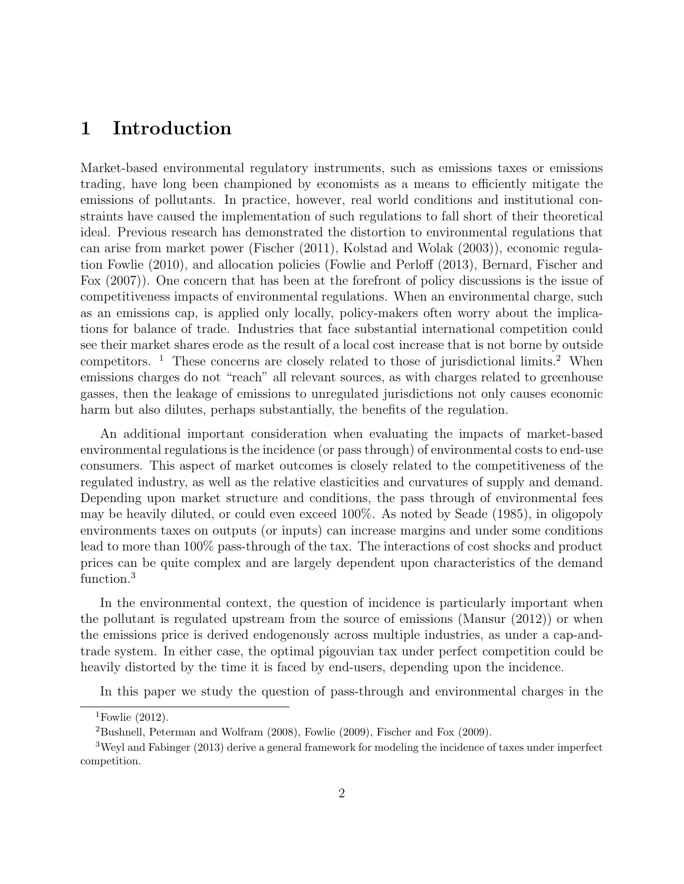### 1 Introduction

Market-based environmental regulatory instruments, such as emissions taxes or emissions trading, have long been championed by economists as a means to efficiently mitigate the emissions of pollutants. In practice, however, real world conditions and institutional constraints have caused the implementation of such regulations to fall short of their theoretical ideal. Previous research has demonstrated the distortion to environmental regulations that can arise from market power (Fischer (2011), Kolstad and Wolak (2003)), economic regulation Fowlie (2010), and allocation policies (Fowlie and Perloff (2013), Bernard, Fischer and Fox (2007)). One concern that has been at the forefront of policy discussions is the issue of competitiveness impacts of environmental regulations. When an environmental charge, such as an emissions cap, is applied only locally, policy-makers often worry about the implications for balance of trade. Industries that face substantial international competition could see their market shares erode as the result of a local cost increase that is not borne by outside competitors. <sup>1</sup> These concerns are closely related to those of jurisdictional limits.<sup>2</sup> When emissions charges do not "reach" all relevant sources, as with charges related to greenhouse gasses, then the leakage of emissions to unregulated jurisdictions not only causes economic harm but also dilutes, perhaps substantially, the benefits of the regulation.

An additional important consideration when evaluating the impacts of market-based environmental regulations is the incidence (or pass through) of environmental costs to end-use consumers. This aspect of market outcomes is closely related to the competitiveness of the regulated industry, as well as the relative elasticities and curvatures of supply and demand. Depending upon market structure and conditions, the pass through of environmental fees may be heavily diluted, or could even exceed 100%. As noted by Seade (1985), in oligopoly environments taxes on outputs (or inputs) can increase margins and under some conditions lead to more than 100% pass-through of the tax. The interactions of cost shocks and product prices can be quite complex and are largely dependent upon characteristics of the demand function.<sup>3</sup>

In the environmental context, the question of incidence is particularly important when the pollutant is regulated upstream from the source of emissions (Mansur (2012)) or when the emissions price is derived endogenously across multiple industries, as under a cap-andtrade system. In either case, the optimal pigouvian tax under perfect competition could be heavily distorted by the time it is faced by end-users, depending upon the incidence.

In this paper we study the question of pass-through and environmental charges in the

 $1$ Fowlie  $(2012)$ .

<sup>2</sup>Bushnell, Peterman and Wolfram (2008), Fowlie (2009), Fischer and Fox (2009).

<sup>3</sup>Weyl and Fabinger (2013) derive a general framework for modeling the incidence of taxes under imperfect competition.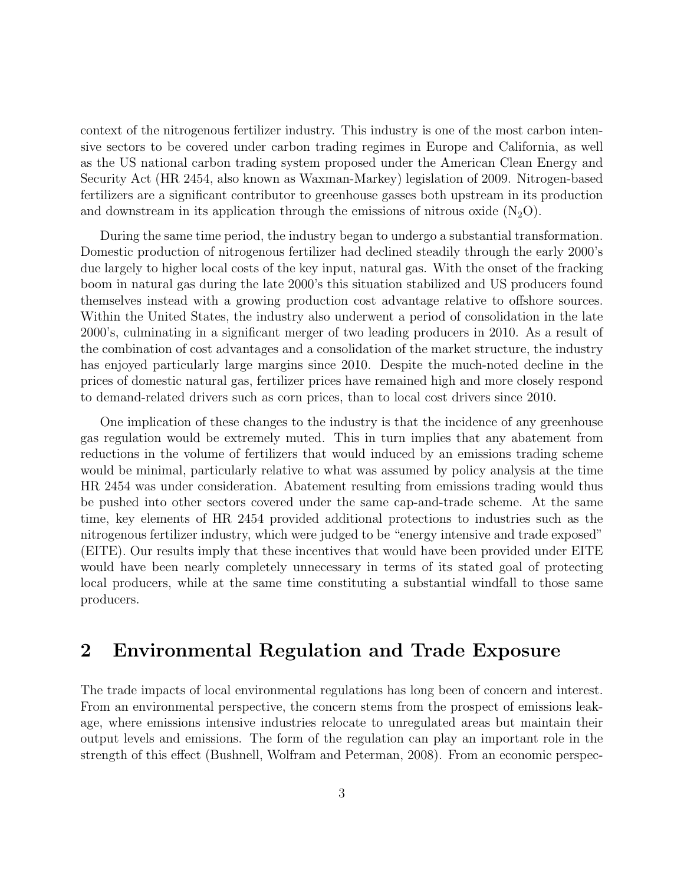context of the nitrogenous fertilizer industry. This industry is one of the most carbon intensive sectors to be covered under carbon trading regimes in Europe and California, as well as the US national carbon trading system proposed under the American Clean Energy and Security Act (HR 2454, also known as Waxman-Markey) legislation of 2009. Nitrogen-based fertilizers are a significant contributor to greenhouse gasses both upstream in its production and downstream in its application through the emissions of nitrous oxide  $(N_2O)$ .

During the same time period, the industry began to undergo a substantial transformation. Domestic production of nitrogenous fertilizer had declined steadily through the early 2000's due largely to higher local costs of the key input, natural gas. With the onset of the fracking boom in natural gas during the late 2000's this situation stabilized and US producers found themselves instead with a growing production cost advantage relative to offshore sources. Within the United States, the industry also underwent a period of consolidation in the late 2000's, culminating in a significant merger of two leading producers in 2010. As a result of the combination of cost advantages and a consolidation of the market structure, the industry has enjoyed particularly large margins since 2010. Despite the much-noted decline in the prices of domestic natural gas, fertilizer prices have remained high and more closely respond to demand-related drivers such as corn prices, than to local cost drivers since 2010.

One implication of these changes to the industry is that the incidence of any greenhouse gas regulation would be extremely muted. This in turn implies that any abatement from reductions in the volume of fertilizers that would induced by an emissions trading scheme would be minimal, particularly relative to what was assumed by policy analysis at the time HR 2454 was under consideration. Abatement resulting from emissions trading would thus be pushed into other sectors covered under the same cap-and-trade scheme. At the same time, key elements of HR 2454 provided additional protections to industries such as the nitrogenous fertilizer industry, which were judged to be "energy intensive and trade exposed" (EITE). Our results imply that these incentives that would have been provided under EITE would have been nearly completely unnecessary in terms of its stated goal of protecting local producers, while at the same time constituting a substantial windfall to those same producers.

### 2 Environmental Regulation and Trade Exposure

The trade impacts of local environmental regulations has long been of concern and interest. From an environmental perspective, the concern stems from the prospect of emissions leakage, where emissions intensive industries relocate to unregulated areas but maintain their output levels and emissions. The form of the regulation can play an important role in the strength of this effect (Bushnell, Wolfram and Peterman, 2008). From an economic perspec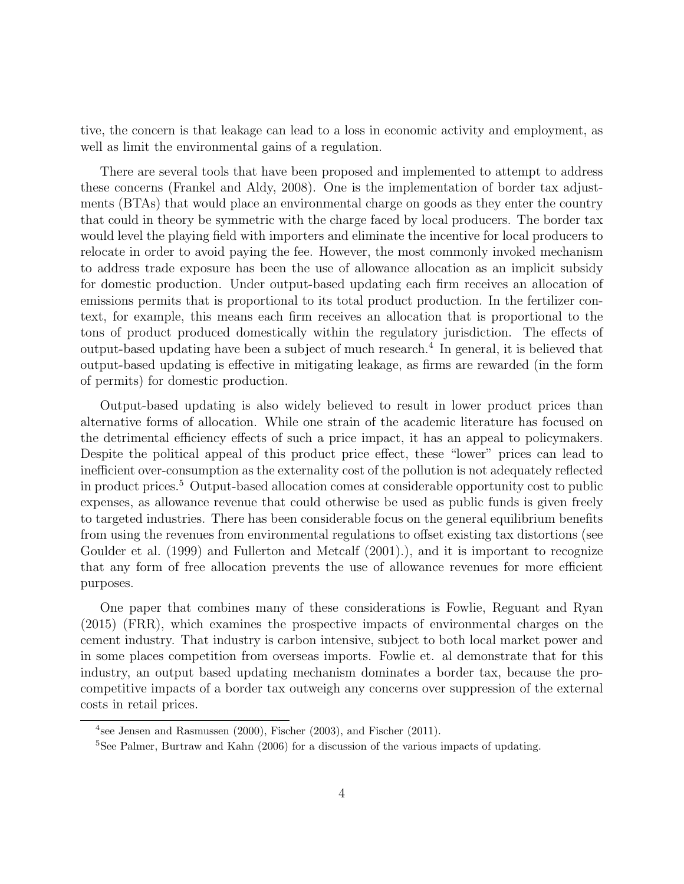tive, the concern is that leakage can lead to a loss in economic activity and employment, as well as limit the environmental gains of a regulation.

There are several tools that have been proposed and implemented to attempt to address these concerns (Frankel and Aldy, 2008). One is the implementation of border tax adjustments (BTAs) that would place an environmental charge on goods as they enter the country that could in theory be symmetric with the charge faced by local producers. The border tax would level the playing field with importers and eliminate the incentive for local producers to relocate in order to avoid paying the fee. However, the most commonly invoked mechanism to address trade exposure has been the use of allowance allocation as an implicit subsidy for domestic production. Under output-based updating each firm receives an allocation of emissions permits that is proportional to its total product production. In the fertilizer context, for example, this means each firm receives an allocation that is proportional to the tons of product produced domestically within the regulatory jurisdiction. The effects of output-based updating have been a subject of much research.<sup>4</sup> In general, it is believed that output-based updating is effective in mitigating leakage, as firms are rewarded (in the form of permits) for domestic production.

Output-based updating is also widely believed to result in lower product prices than alternative forms of allocation. While one strain of the academic literature has focused on the detrimental efficiency effects of such a price impact, it has an appeal to policymakers. Despite the political appeal of this product price effect, these "lower" prices can lead to inefficient over-consumption as the externality cost of the pollution is not adequately reflected in product prices.<sup>5</sup> Output-based allocation comes at considerable opportunity cost to public expenses, as allowance revenue that could otherwise be used as public funds is given freely to targeted industries. There has been considerable focus on the general equilibrium benefits from using the revenues from environmental regulations to offset existing tax distortions (see Goulder et al. (1999) and Fullerton and Metcalf (2001).), and it is important to recognize that any form of free allocation prevents the use of allowance revenues for more efficient purposes.

One paper that combines many of these considerations is Fowlie, Reguant and Ryan (2015) (FRR), which examines the prospective impacts of environmental charges on the cement industry. That industry is carbon intensive, subject to both local market power and in some places competition from overseas imports. Fowlie et. al demonstrate that for this industry, an output based updating mechanism dominates a border tax, because the procompetitive impacts of a border tax outweigh any concerns over suppression of the external costs in retail prices.

<sup>&</sup>lt;sup>4</sup>see Jensen and Rasmussen (2000), Fischer (2003), and Fischer (2011).

<sup>5</sup>See Palmer, Burtraw and Kahn (2006) for a discussion of the various impacts of updating.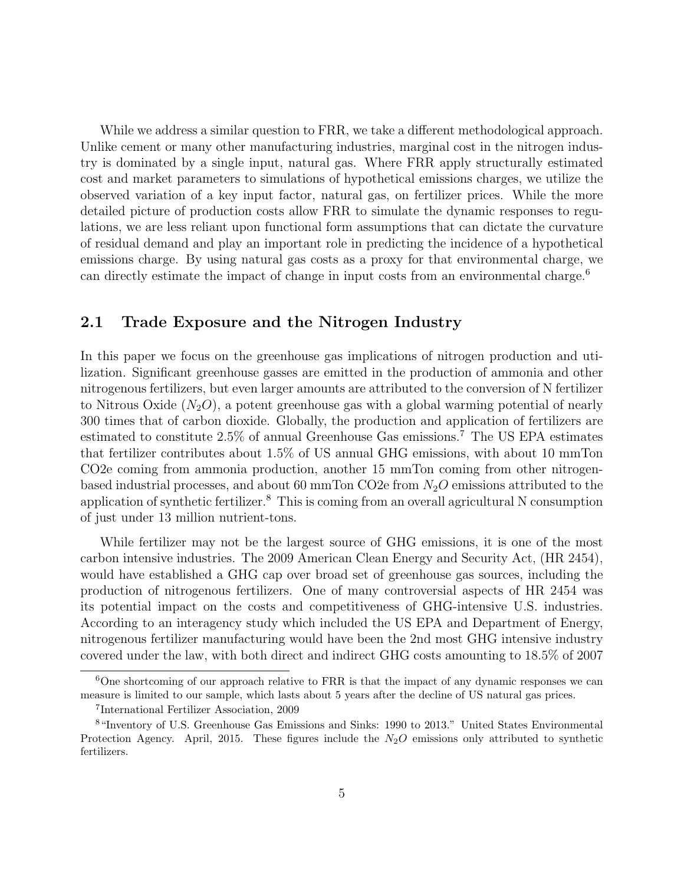While we address a similar question to FRR, we take a different methodological approach. Unlike cement or many other manufacturing industries, marginal cost in the nitrogen industry is dominated by a single input, natural gas. Where FRR apply structurally estimated cost and market parameters to simulations of hypothetical emissions charges, we utilize the observed variation of a key input factor, natural gas, on fertilizer prices. While the more detailed picture of production costs allow FRR to simulate the dynamic responses to regulations, we are less reliant upon functional form assumptions that can dictate the curvature of residual demand and play an important role in predicting the incidence of a hypothetical emissions charge. By using natural gas costs as a proxy for that environmental charge, we can directly estimate the impact of change in input costs from an environmental charge.<sup>6</sup>

#### 2.1 Trade Exposure and the Nitrogen Industry

In this paper we focus on the greenhouse gas implications of nitrogen production and utilization. Significant greenhouse gasses are emitted in the production of ammonia and other nitrogenous fertilizers, but even larger amounts are attributed to the conversion of N fertilizer to Nitrous Oxide  $(N_2O)$ , a potent greenhouse gas with a global warming potential of nearly 300 times that of carbon dioxide. Globally, the production and application of fertilizers are estimated to constitute 2.5% of annual Greenhouse Gas emissions.<sup>7</sup> The US EPA estimates that fertilizer contributes about 1.5% of US annual GHG emissions, with about 10 mmTon CO2e coming from ammonia production, another 15 mmTon coming from other nitrogenbased industrial processes, and about 60 mmTon CO2e from  $N_2O$  emissions attributed to the application of synthetic fertilizer.<sup>8</sup> This is coming from an overall agricultural N consumption of just under 13 million nutrient-tons.

While fertilizer may not be the largest source of GHG emissions, it is one of the most carbon intensive industries. The 2009 American Clean Energy and Security Act, (HR 2454), would have established a GHG cap over broad set of greenhouse gas sources, including the production of nitrogenous fertilizers. One of many controversial aspects of HR 2454 was its potential impact on the costs and competitiveness of GHG-intensive U.S. industries. According to an interagency study which included the US EPA and Department of Energy, nitrogenous fertilizer manufacturing would have been the 2nd most GHG intensive industry covered under the law, with both direct and indirect GHG costs amounting to 18.5% of 2007

<sup>&</sup>lt;sup>6</sup>One shortcoming of our approach relative to FRR is that the impact of any dynamic responses we can measure is limited to our sample, which lasts about 5 years after the decline of US natural gas prices.

<sup>7</sup> International Fertilizer Association, 2009

<sup>8</sup>"Inventory of U.S. Greenhouse Gas Emissions and Sinks: 1990 to 2013." United States Environmental Protection Agency. April, 2015. These figures include the  $N_2O$  emissions only attributed to synthetic fertilizers.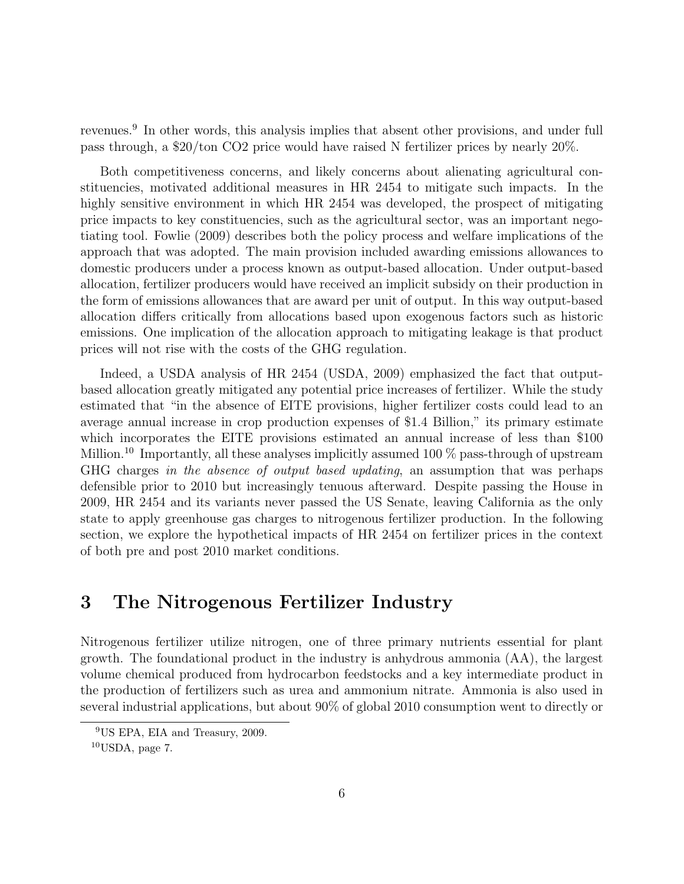revenues.<sup>9</sup> In other words, this analysis implies that absent other provisions, and under full pass through, a \$20/ton CO2 price would have raised N fertilizer prices by nearly 20%.

Both competitiveness concerns, and likely concerns about alienating agricultural constituencies, motivated additional measures in HR 2454 to mitigate such impacts. In the highly sensitive environment in which HR 2454 was developed, the prospect of mitigating price impacts to key constituencies, such as the agricultural sector, was an important negotiating tool. Fowlie (2009) describes both the policy process and welfare implications of the approach that was adopted. The main provision included awarding emissions allowances to domestic producers under a process known as output-based allocation. Under output-based allocation, fertilizer producers would have received an implicit subsidy on their production in the form of emissions allowances that are award per unit of output. In this way output-based allocation differs critically from allocations based upon exogenous factors such as historic emissions. One implication of the allocation approach to mitigating leakage is that product prices will not rise with the costs of the GHG regulation.

Indeed, a USDA analysis of HR 2454 (USDA, 2009) emphasized the fact that outputbased allocation greatly mitigated any potential price increases of fertilizer. While the study estimated that "in the absence of EITE provisions, higher fertilizer costs could lead to an average annual increase in crop production expenses of \$1.4 Billion," its primary estimate which incorporates the EITE provisions estimated an annual increase of less than \$100 Million.<sup>10</sup> Importantly, all these analyses implicitly assumed 100  $\%$  pass-through of upstream GHG charges in the absence of output based updating, an assumption that was perhaps defensible prior to 2010 but increasingly tenuous afterward. Despite passing the House in 2009, HR 2454 and its variants never passed the US Senate, leaving California as the only state to apply greenhouse gas charges to nitrogenous fertilizer production. In the following section, we explore the hypothetical impacts of HR 2454 on fertilizer prices in the context of both pre and post 2010 market conditions.

### 3 The Nitrogenous Fertilizer Industry

Nitrogenous fertilizer utilize nitrogen, one of three primary nutrients essential for plant growth. The foundational product in the industry is anhydrous ammonia (AA), the largest volume chemical produced from hydrocarbon feedstocks and a key intermediate product in the production of fertilizers such as urea and ammonium nitrate. Ammonia is also used in several industrial applications, but about 90% of global 2010 consumption went to directly or

<sup>9</sup>US EPA, EIA and Treasury, 2009.

 $10$ USDA, page 7.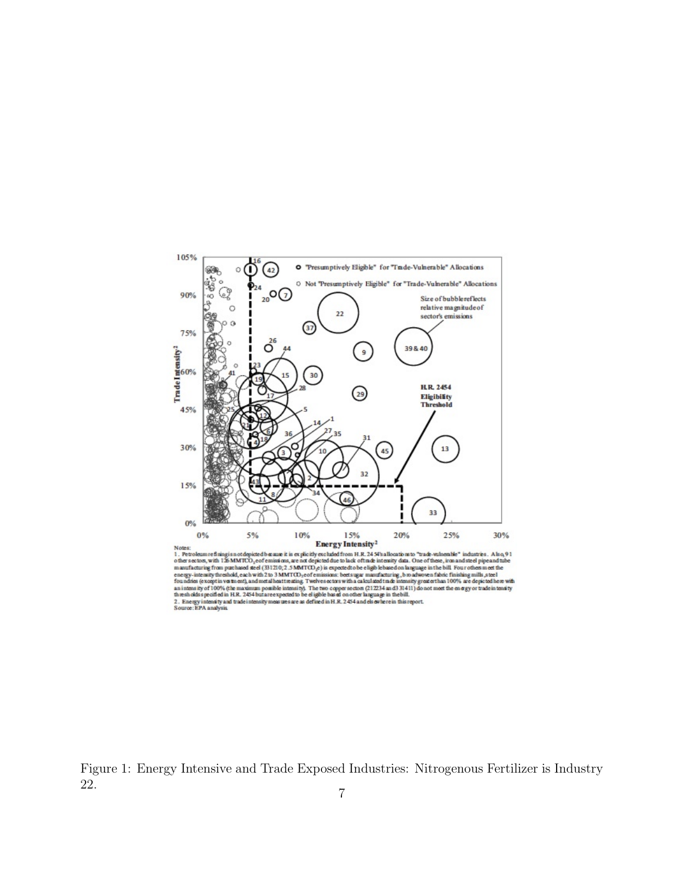

Notes:<br> **Energy Intensity<sup>2</sup>**<br>
1. Petroleum refiningi sn ordepicted because it is explicitly declined to them. H. 24 SVs allocations to "trade-vulnemble" industries. A is a 9 1<br>
1. Petroleum refining from purchased steel For a more (except at version and an except and the section of the section of the section of the section of the section of the section of the section of the section of the section of the section of the section of the secti

Figure 1: Energy Intensive and Trade Exposed Industries: Nitrogenous Fertilizer is Industry  $22.$  7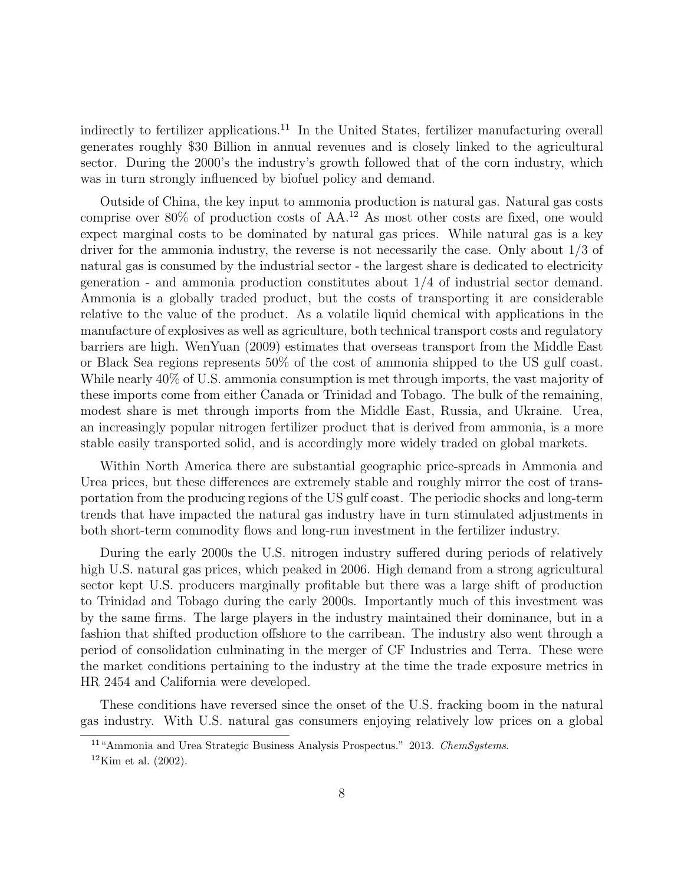indirectly to fertilizer applications.<sup>11</sup> In the United States, fertilizer manufacturing overall generates roughly \$30 Billion in annual revenues and is closely linked to the agricultural sector. During the 2000's the industry's growth followed that of the corn industry, which was in turn strongly influenced by biofuel policy and demand.

Outside of China, the key input to ammonia production is natural gas. Natural gas costs comprise over  $80\%$  of production costs of AA.<sup>12</sup> As most other costs are fixed, one would expect marginal costs to be dominated by natural gas prices. While natural gas is a key driver for the ammonia industry, the reverse is not necessarily the case. Only about 1/3 of natural gas is consumed by the industrial sector - the largest share is dedicated to electricity generation - and ammonia production constitutes about  $1/4$  of industrial sector demand. Ammonia is a globally traded product, but the costs of transporting it are considerable relative to the value of the product. As a volatile liquid chemical with applications in the manufacture of explosives as well as agriculture, both technical transport costs and regulatory barriers are high. WenYuan (2009) estimates that overseas transport from the Middle East or Black Sea regions represents 50% of the cost of ammonia shipped to the US gulf coast. While nearly 40% of U.S. ammonia consumption is met through imports, the vast majority of these imports come from either Canada or Trinidad and Tobago. The bulk of the remaining, modest share is met through imports from the Middle East, Russia, and Ukraine. Urea, an increasingly popular nitrogen fertilizer product that is derived from ammonia, is a more stable easily transported solid, and is accordingly more widely traded on global markets.

Within North America there are substantial geographic price-spreads in Ammonia and Urea prices, but these differences are extremely stable and roughly mirror the cost of transportation from the producing regions of the US gulf coast. The periodic shocks and long-term trends that have impacted the natural gas industry have in turn stimulated adjustments in both short-term commodity flows and long-run investment in the fertilizer industry.

During the early 2000s the U.S. nitrogen industry suffered during periods of relatively high U.S. natural gas prices, which peaked in 2006. High demand from a strong agricultural sector kept U.S. producers marginally profitable but there was a large shift of production to Trinidad and Tobago during the early 2000s. Importantly much of this investment was by the same firms. The large players in the industry maintained their dominance, but in a fashion that shifted production offshore to the carribean. The industry also went through a period of consolidation culminating in the merger of CF Industries and Terra. These were the market conditions pertaining to the industry at the time the trade exposure metrics in HR 2454 and California were developed.

These conditions have reversed since the onset of the U.S. fracking boom in the natural gas industry. With U.S. natural gas consumers enjoying relatively low prices on a global

<sup>&</sup>lt;sup>11</sup>"Ammonia and Urea Strategic Business Analysis Prospectus." 2013. ChemSystems.

 $12$ Kim et al.  $(2002)$ .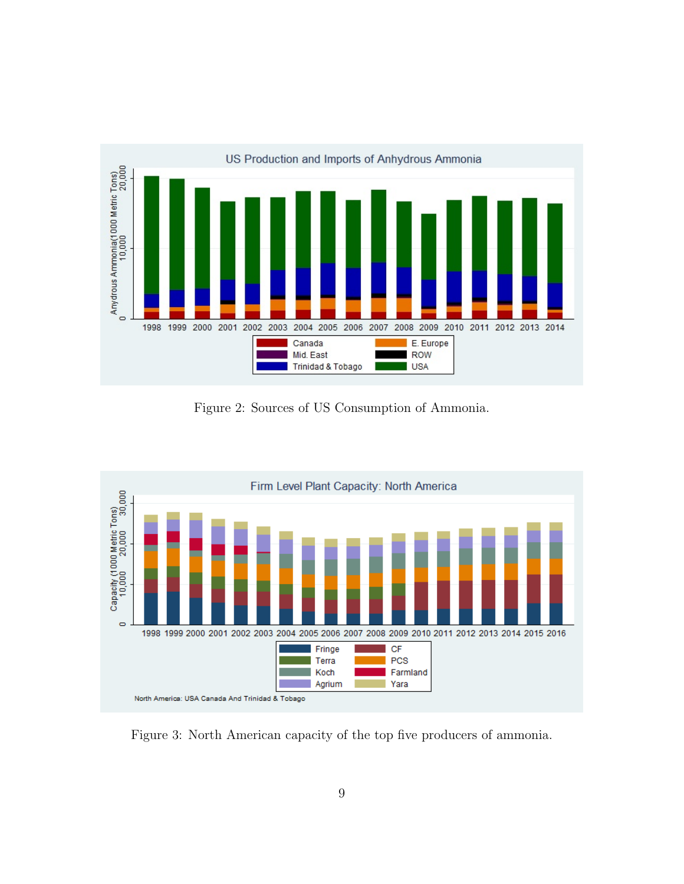

Figure 2: Sources of US Consumption of Ammonia.



Figure 3: North American capacity of the top five producers of ammonia.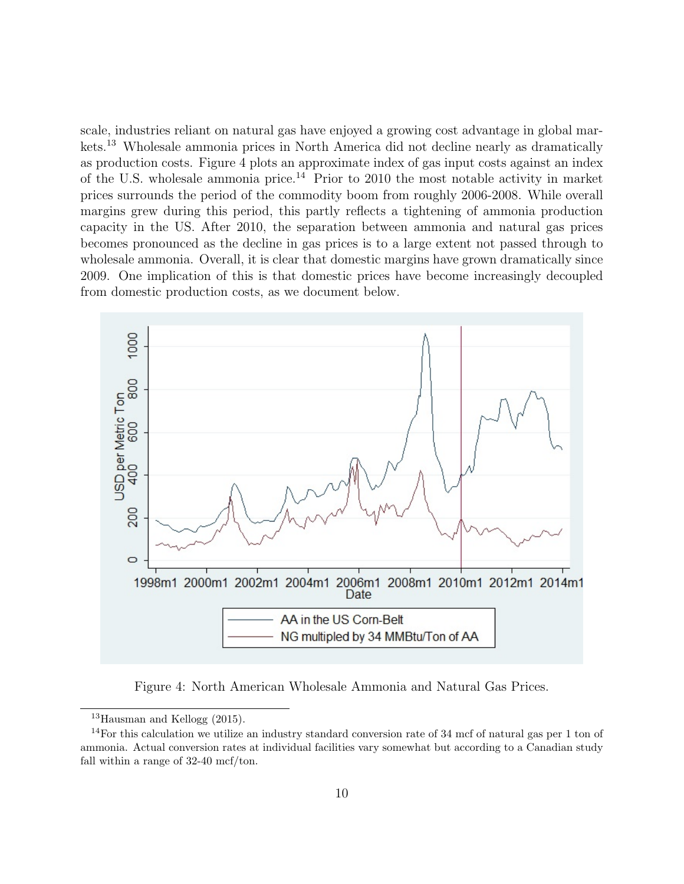scale, industries reliant on natural gas have enjoyed a growing cost advantage in global markets.<sup>13</sup> Wholesale ammonia prices in North America did not decline nearly as dramatically as production costs. Figure 4 plots an approximate index of gas input costs against an index of the U.S. wholesale ammonia price.<sup>14</sup> Prior to 2010 the most notable activity in market prices surrounds the period of the commodity boom from roughly 2006-2008. While overall margins grew during this period, this partly reflects a tightening of ammonia production capacity in the US. After 2010, the separation between ammonia and natural gas prices becomes pronounced as the decline in gas prices is to a large extent not passed through to wholesale ammonia. Overall, it is clear that domestic margins have grown dramatically since 2009. One implication of this is that domestic prices have become increasingly decoupled from domestic production costs, as we document below.



Figure 4: North American Wholesale Ammonia and Natural Gas Prices.

<sup>13</sup>Hausman and Kellogg (2015).

<sup>&</sup>lt;sup>14</sup>For this calculation we utilize an industry standard conversion rate of 34 mcf of natural gas per 1 ton of ammonia. Actual conversion rates at individual facilities vary somewhat but according to a Canadian study fall within a range of  $32-40$  mcf/ton.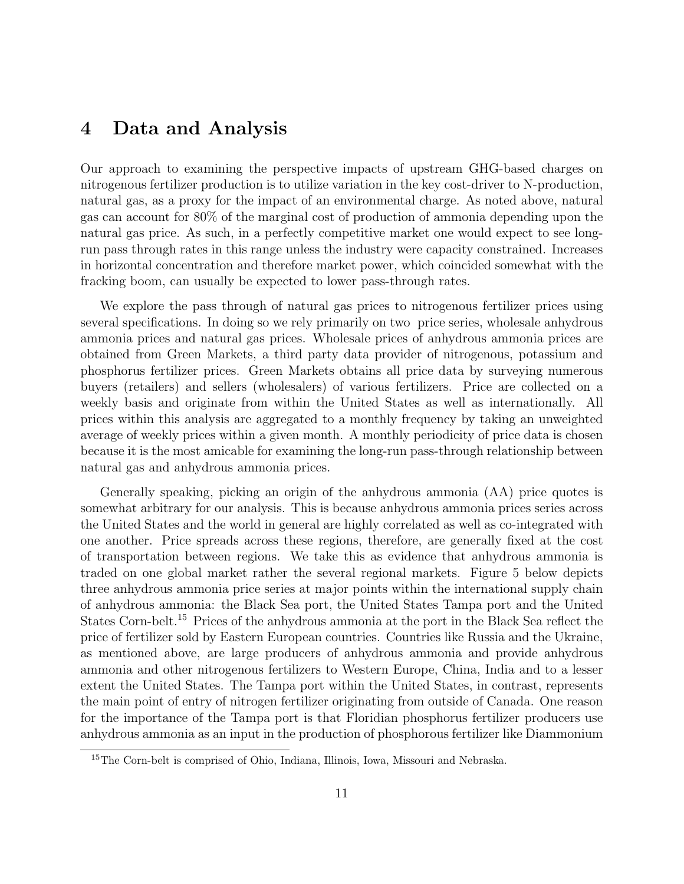### 4 Data and Analysis

Our approach to examining the perspective impacts of upstream GHG-based charges on nitrogenous fertilizer production is to utilize variation in the key cost-driver to N-production, natural gas, as a proxy for the impact of an environmental charge. As noted above, natural gas can account for 80% of the marginal cost of production of ammonia depending upon the natural gas price. As such, in a perfectly competitive market one would expect to see longrun pass through rates in this range unless the industry were capacity constrained. Increases in horizontal concentration and therefore market power, which coincided somewhat with the fracking boom, can usually be expected to lower pass-through rates.

We explore the pass through of natural gas prices to nitrogenous fertilizer prices using several specifications. In doing so we rely primarily on two price series, wholesale anhydrous ammonia prices and natural gas prices. Wholesale prices of anhydrous ammonia prices are obtained from Green Markets, a third party data provider of nitrogenous, potassium and phosphorus fertilizer prices. Green Markets obtains all price data by surveying numerous buyers (retailers) and sellers (wholesalers) of various fertilizers. Price are collected on a weekly basis and originate from within the United States as well as internationally. All prices within this analysis are aggregated to a monthly frequency by taking an unweighted average of weekly prices within a given month. A monthly periodicity of price data is chosen because it is the most amicable for examining the long-run pass-through relationship between natural gas and anhydrous ammonia prices.

Generally speaking, picking an origin of the anhydrous ammonia (AA) price quotes is somewhat arbitrary for our analysis. This is because anhydrous ammonia prices series across the United States and the world in general are highly correlated as well as co-integrated with one another. Price spreads across these regions, therefore, are generally fixed at the cost of transportation between regions. We take this as evidence that anhydrous ammonia is traded on one global market rather the several regional markets. Figure 5 below depicts three anhydrous ammonia price series at major points within the international supply chain of anhydrous ammonia: the Black Sea port, the United States Tampa port and the United States Corn-belt.<sup>15</sup> Prices of the anhydrous ammonia at the port in the Black Sea reflect the price of fertilizer sold by Eastern European countries. Countries like Russia and the Ukraine, as mentioned above, are large producers of anhydrous ammonia and provide anhydrous ammonia and other nitrogenous fertilizers to Western Europe, China, India and to a lesser extent the United States. The Tampa port within the United States, in contrast, represents the main point of entry of nitrogen fertilizer originating from outside of Canada. One reason for the importance of the Tampa port is that Floridian phosphorus fertilizer producers use anhydrous ammonia as an input in the production of phosphorous fertilizer like Diammonium

<sup>15</sup>The Corn-belt is comprised of Ohio, Indiana, Illinois, Iowa, Missouri and Nebraska.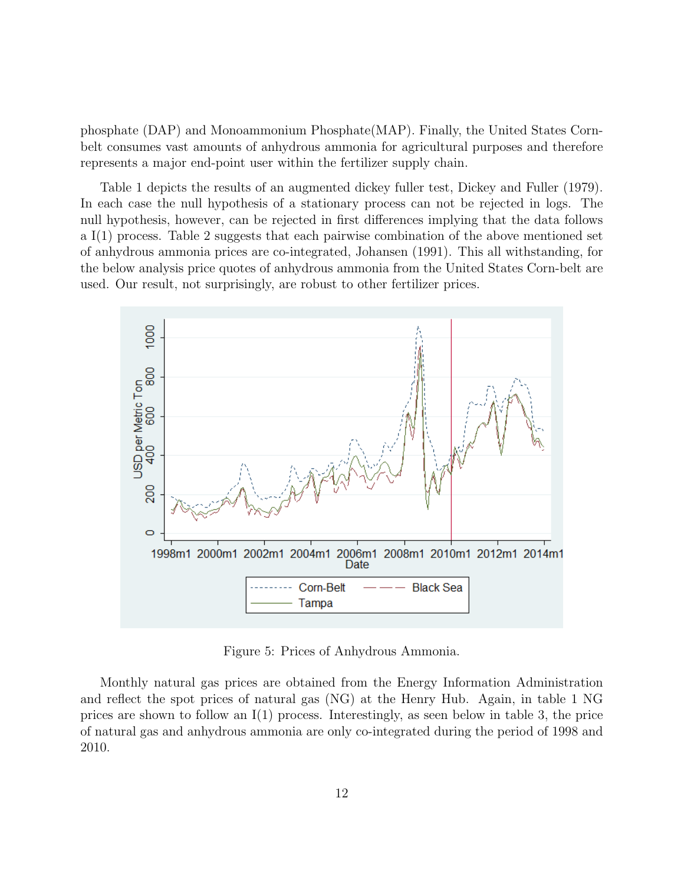phosphate (DAP) and Monoammonium Phosphate(MAP). Finally, the United States Cornbelt consumes vast amounts of anhydrous ammonia for agricultural purposes and therefore represents a major end-point user within the fertilizer supply chain.

Table 1 depicts the results of an augmented dickey fuller test, Dickey and Fuller (1979). In each case the null hypothesis of a stationary process can not be rejected in logs. The null hypothesis, however, can be rejected in first differences implying that the data follows a I(1) process. Table 2 suggests that each pairwise combination of the above mentioned set of anhydrous ammonia prices are co-integrated, Johansen (1991). This all withstanding, for the below analysis price quotes of anhydrous ammonia from the United States Corn-belt are used. Our result, not surprisingly, are robust to other fertilizer prices.



Figure 5: Prices of Anhydrous Ammonia.

Monthly natural gas prices are obtained from the Energy Information Administration and reflect the spot prices of natural gas (NG) at the Henry Hub. Again, in table 1 NG prices are shown to follow an I(1) process. Interestingly, as seen below in table 3, the price of natural gas and anhydrous ammonia are only co-integrated during the period of 1998 and 2010.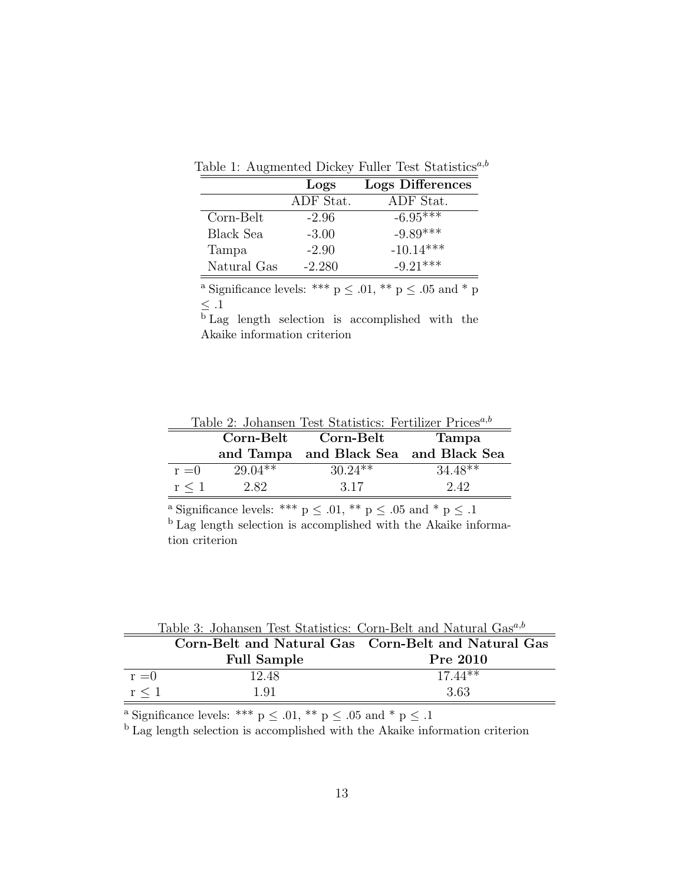|  | Table 1: Augmented Dickey Fuller Test Statistics <sup>a,b</sup> |  |  |  |  |
|--|-----------------------------------------------------------------|--|--|--|--|
|--|-----------------------------------------------------------------|--|--|--|--|

|             | Logs      | <b>Logs Differences</b> |
|-------------|-----------|-------------------------|
|             | ADF Stat. | ADF Stat.               |
| Corn-Belt   | $-2.96$   | $-6.95***$              |
| Black Sea   | $-3.00$   | $-9.89***$              |
| Tampa       | $-2.90$   | $-10.14***$             |
| Natural Gas | $-2.280$  | $-9.21***$              |

 $^{\rm a}$  Significance levels: \*\*\* p  $\leq$  .01, \*\* p  $\leq$  .05 and \* p  $\leq .1$ 

 $\overline{b}$  Lag length selection is accomplished with the Akaike information criterion

| Table 2: Johansen Test Statistics: Fertilizer Prices <sup><i>a,b</i></sup> |           |                                       |              |  |  |  |  |
|----------------------------------------------------------------------------|-----------|---------------------------------------|--------------|--|--|--|--|
|                                                                            |           | Corn-Belt Corn-Belt                   | <b>Tampa</b> |  |  |  |  |
|                                                                            |           | and Tampa and Black Sea and Black Sea |              |  |  |  |  |
| $r = 0$                                                                    | $29.04**$ | $30.24**$                             | $34.48**$    |  |  |  |  |
| r < 1                                                                      | 2.82      | 3.17                                  | 2.42         |  |  |  |  |

<sup>a</sup> Significance levels: \*\*\*  $p \leq .01$ , \*\*  $p \leq .05$  and \*  $p \leq .1$ 

<sup>b</sup> Lag length selection is accomplished with the Akaike information criterion

|         | Table 5: Jonansen Test Statistics: Corn-Belt and Natural Gas" |                                                     |
|---------|---------------------------------------------------------------|-----------------------------------------------------|
|         |                                                               | Corn-Belt and Natural Gas Corn-Belt and Natural Gas |
|         | <b>Full Sample</b>                                            | Pre 2010                                            |
| $r = 0$ | 12.48                                                         | $17.44**$                                           |
| r < 1   | 1.91                                                          | 3.63                                                |

Table 3: Johansen Test Statistics: Corn-Belt and Natural Gasa,b

 $^{\textrm{a}}$  Significance levels: \*\*\* p  $\leq$  .01, \*\* p  $\leq$  .05 and \* p  $\leq$  .1

<sup>b</sup> Lag length selection is accomplished with the Akaike information criterion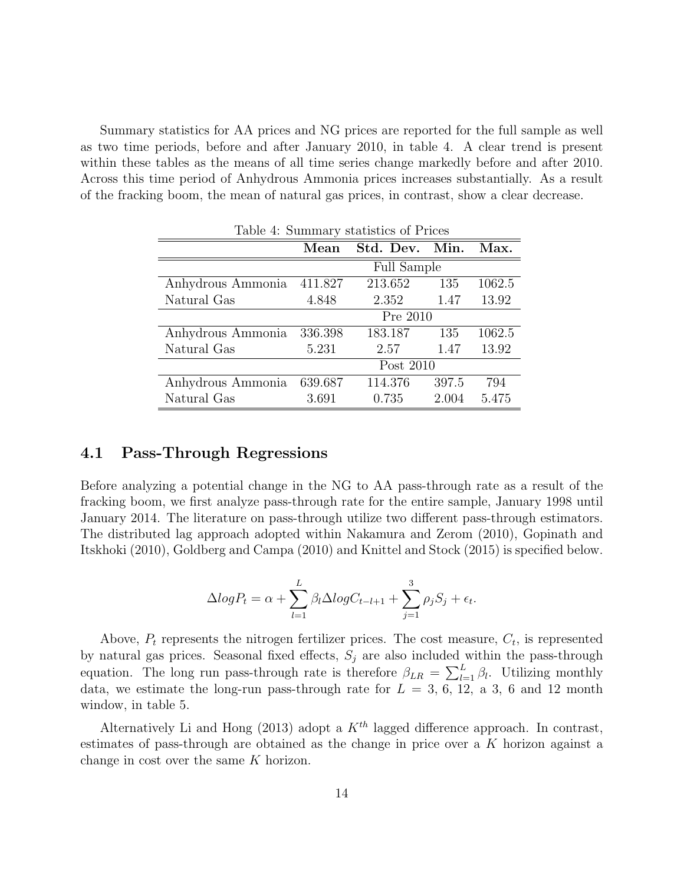Summary statistics for AA prices and NG prices are reported for the full sample as well as two time periods, before and after January 2010, in table 4. A clear trend is present within these tables as the means of all time series change markedly before and after 2010. Across this time period of Anhydrous Ammonia prices increases substantially. As a result of the fracking boom, the mean of natural gas prices, in contrast, show a clear decrease.

| Table 4: Summary statistics of Prices |         |                    |       |        |  |  |
|---------------------------------------|---------|--------------------|-------|--------|--|--|
|                                       | Mean    | Std. Dev. Min.     |       | Max.   |  |  |
|                                       |         | <b>Full Sample</b> |       |        |  |  |
| Anhydrous Ammonia                     | 411.827 | 213.652            | 135   | 1062.5 |  |  |
| Natural Gas                           | 4.848   | 2.352              | 1.47  | 13.92  |  |  |
|                                       |         | Pre 2010           |       |        |  |  |
| Anhydrous Ammonia                     | 336.398 | 183.187            | 135   | 1062.5 |  |  |
| Natural Gas                           | 5.231   | 2.57               | 1.47  | 13.92  |  |  |
|                                       |         | Post 2010          |       |        |  |  |
| Anhydrous Ammonia                     | 639.687 | 114.376            | 397.5 | 794    |  |  |
| Natural Gas                           | 3.691   | 0.735              | 2.004 | 5.475  |  |  |

#### 4.1 Pass-Through Regressions

Before analyzing a potential change in the NG to AA pass-through rate as a result of the fracking boom, we first analyze pass-through rate for the entire sample, January 1998 until January 2014. The literature on pass-through utilize two different pass-through estimators. The distributed lag approach adopted within Nakamura and Zerom (2010), Gopinath and Itskhoki (2010), Goldberg and Campa (2010) and Knittel and Stock (2015) is specified below.

$$
\Delta log P_t = \alpha + \sum_{l=1}^{L} \beta_l \Delta log C_{t-l+1} + \sum_{j=1}^{3} \rho_j S_j + \epsilon_t.
$$

Above,  $P_t$  represents the nitrogen fertilizer prices. The cost measure,  $C_t$ , is represented by natural gas prices. Seasonal fixed effects,  $S_j$  are also included within the pass-through equation. The long run pass-through rate is therefore  $\beta_{LR} = \sum_{l=1}^{L} \beta_l$ . Utilizing monthly data, we estimate the long-run pass-through rate for  $L = 3, 6, 12, a 3, 6, a$  and 12 month window, in table 5.

Alternatively Li and Hong (2013) adopt a  $K^{th}$  lagged difference approach. In contrast, estimates of pass-through are obtained as the change in price over a K horizon against a change in cost over the same K horizon.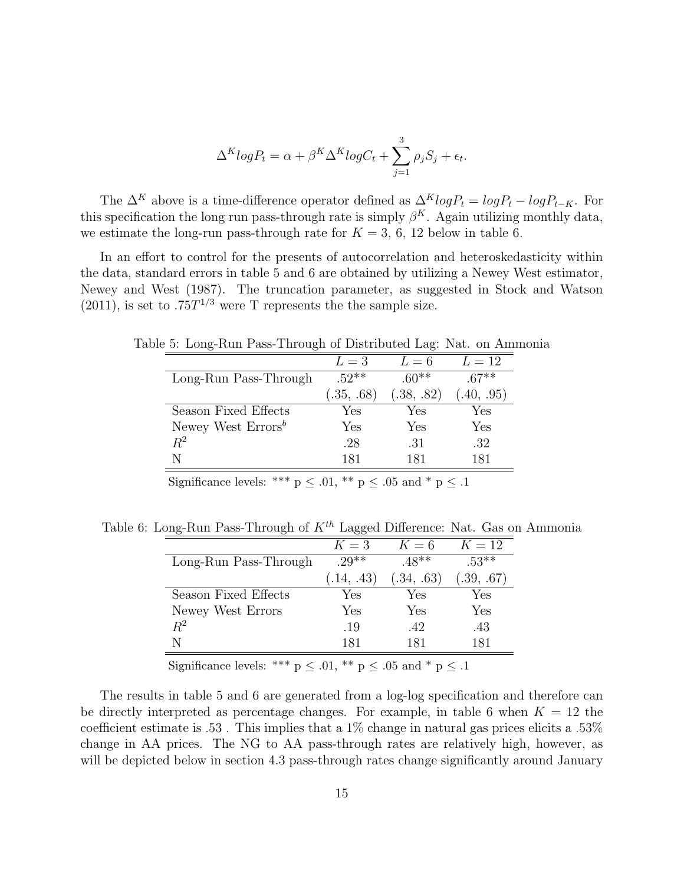$$
\Delta^K log P_t = \alpha + \beta^K \Delta^K log C_t + \sum_{j=1}^3 \rho_j S_j + \epsilon_t.
$$

The  $\Delta^K$  above is a time-difference operator defined as  $\Delta^K log P_t = log P_t - log P_{t-K}$ . For this specification the long run pass-through rate is simply  $\beta^{K}$ . Again utilizing monthly data, we estimate the long-run pass-through rate for  $K = 3, 6, 12$  below in table 6.

In an effort to control for the presents of autocorrelation and heteroskedasticity within the data, standard errors in table 5 and 6 are obtained by utilizing a Newey West estimator, Newey and West (1987). The truncation parameter, as suggested in Stock and Watson  $(2011)$ , is set to .75 $T^{1/3}$  were T represents the the sample size.

| re 5. Long-Kun I ass-Through of Distributed Lag. Nat. on Alli |            |            |            |
|---------------------------------------------------------------|------------|------------|------------|
|                                                               | $L=3$      | $L=6$      | $L=12$     |
| Long-Run Pass-Through                                         | $.52**$    | $.60**$    | $67**$     |
|                                                               | (.35, .68) | (.38, .82) | (.40, .95) |
| Season Fixed Effects                                          | Yes        | Yes        | Yes        |
| Newey West $\text{Errors}^b$                                  | Yes        | Yes        | Yes        |
| $R^2$                                                         | .28        | .31        | .32        |
| N                                                             | 181        | 181        | 181        |

Table 5: Long-Run Pass-Through of Distributed Lag: Nat. on Ammonia

Significance levels: \*\*\*  $p \leq .01$ , \*\*  $p \leq .05$  and \*  $p \leq .1$ 

Table 6: Long-Run Pass-Through of  $K^{th}$  Lagged Difference: Nat. Gas on Ammonia

|                       | $K=3$      | $K=6$      | $K=12$     |
|-----------------------|------------|------------|------------|
| Long-Run Pass-Through | $29^{**}$  | $.48**$    | $.53**$    |
|                       | (.14, .43) | (.34, .63) | (.39, .67) |
| Season Fixed Effects  | Yes        | Yes        | Yes        |
| Newey West Errors     | Yes        | Yes        | Yes        |
| $R^2$                 | .19        | .42        | .43        |
|                       | 181        | 181        | 181        |

Significance levels: \*\*\*  $p \leq .01$ , \*\*  $p \leq .05$  and \*  $p \leq .1$ 

The results in table 5 and 6 are generated from a log-log specification and therefore can be directly interpreted as percentage changes. For example, in table 6 when  $K = 12$  the coefficient estimate is .53 . This implies that a 1% change in natural gas prices elicits a .53% change in AA prices. The NG to AA pass-through rates are relatively high, however, as will be depicted below in section 4.3 pass-through rates change significantly around January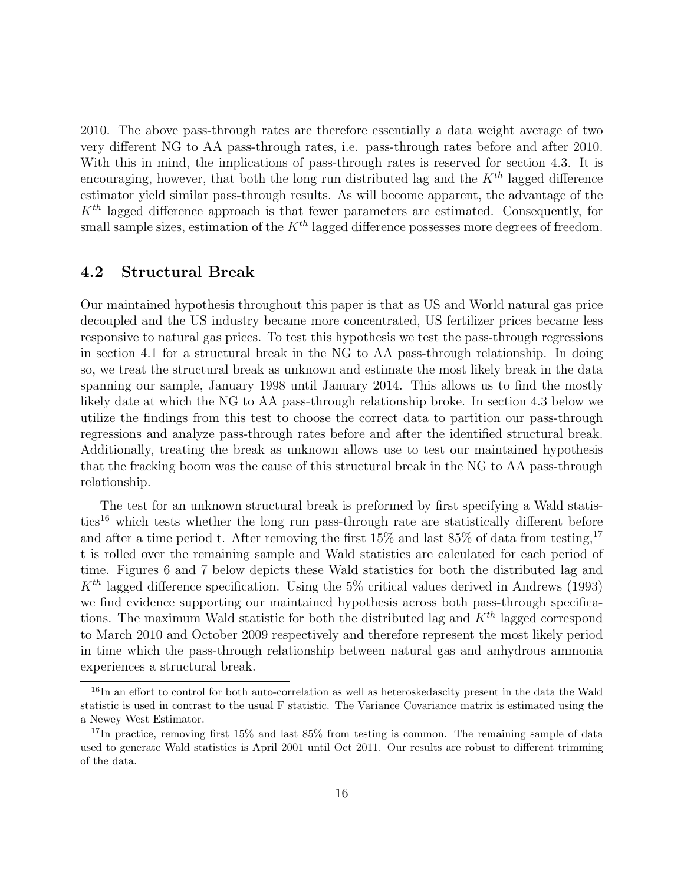2010. The above pass-through rates are therefore essentially a data weight average of two very different NG to AA pass-through rates, i.e. pass-through rates before and after 2010. With this in mind, the implications of pass-through rates is reserved for section 4.3. It is encouraging, however, that both the long run distributed lag and the  $K^{th}$  lagged difference estimator yield similar pass-through results. As will become apparent, the advantage of the  $K<sup>th</sup>$  lagged difference approach is that fewer parameters are estimated. Consequently, for small sample sizes, estimation of the  $K^{th}$  lagged difference possesses more degrees of freedom.

### 4.2 Structural Break

Our maintained hypothesis throughout this paper is that as US and World natural gas price decoupled and the US industry became more concentrated, US fertilizer prices became less responsive to natural gas prices. To test this hypothesis we test the pass-through regressions in section 4.1 for a structural break in the NG to AA pass-through relationship. In doing so, we treat the structural break as unknown and estimate the most likely break in the data spanning our sample, January 1998 until January 2014. This allows us to find the mostly likely date at which the NG to AA pass-through relationship broke. In section 4.3 below we utilize the findings from this test to choose the correct data to partition our pass-through regressions and analyze pass-through rates before and after the identified structural break. Additionally, treating the break as unknown allows use to test our maintained hypothesis that the fracking boom was the cause of this structural break in the NG to AA pass-through relationship.

The test for an unknown structural break is preformed by first specifying a Wald statistics<sup>16</sup> which tests whether the long run pass-through rate are statistically different before and after a time period t. After removing the first  $15\%$  and last  $85\%$  of data from testing,  $17$ t is rolled over the remaining sample and Wald statistics are calculated for each period of time. Figures 6 and 7 below depicts these Wald statistics for both the distributed lag and  $K<sup>th</sup>$  lagged difference specification. Using the 5% critical values derived in Andrews (1993) we find evidence supporting our maintained hypothesis across both pass-through specifications. The maximum Wald statistic for both the distributed lag and  $K^{th}$  lagged correspond to March 2010 and October 2009 respectively and therefore represent the most likely period in time which the pass-through relationship between natural gas and anhydrous ammonia experiences a structural break.

<sup>&</sup>lt;sup>16</sup>In an effort to control for both auto-correlation as well as heteroskedascity present in the data the Wald statistic is used in contrast to the usual F statistic. The Variance Covariance matrix is estimated using the a Newey West Estimator.

<sup>&</sup>lt;sup>17</sup>In practice, removing first 15% and last  $85\%$  from testing is common. The remaining sample of data used to generate Wald statistics is April 2001 until Oct 2011. Our results are robust to different trimming of the data.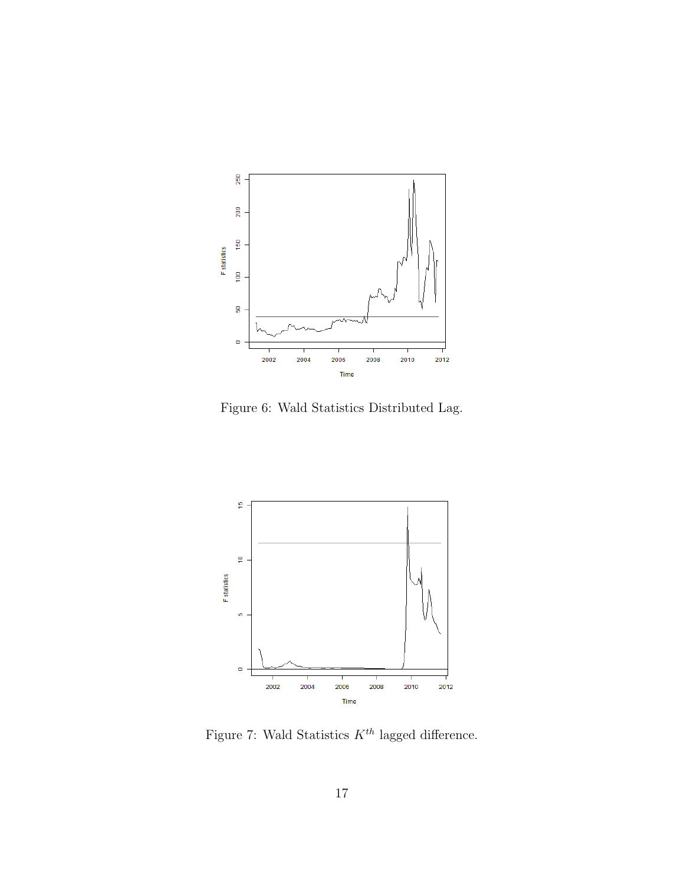

Figure 6: Wald Statistics Distributed Lag.



Figure 7: Wald Statistics  $K^{th}$  lagged difference.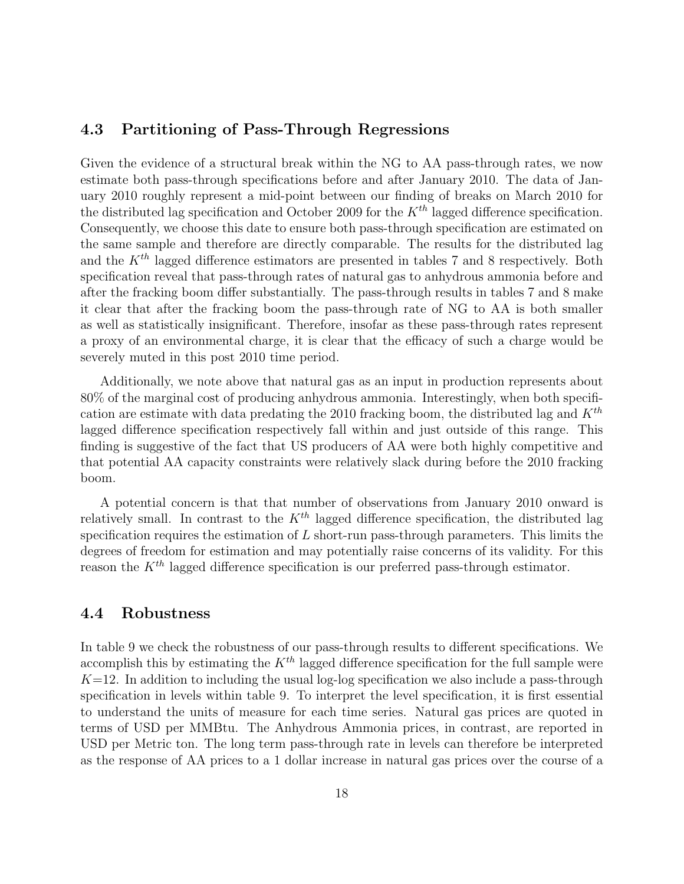#### 4.3 Partitioning of Pass-Through Regressions

Given the evidence of a structural break within the NG to AA pass-through rates, we now estimate both pass-through specifications before and after January 2010. The data of January 2010 roughly represent a mid-point between our finding of breaks on March 2010 for the distributed lag specification and October 2009 for the  $K^{th}$  lagged difference specification. Consequently, we choose this date to ensure both pass-through specification are estimated on the same sample and therefore are directly comparable. The results for the distributed lag and the  $K^{th}$  lagged difference estimators are presented in tables 7 and 8 respectively. Both specification reveal that pass-through rates of natural gas to anhydrous ammonia before and after the fracking boom differ substantially. The pass-through results in tables 7 and 8 make it clear that after the fracking boom the pass-through rate of NG to AA is both smaller as well as statistically insignificant. Therefore, insofar as these pass-through rates represent a proxy of an environmental charge, it is clear that the efficacy of such a charge would be severely muted in this post 2010 time period.

Additionally, we note above that natural gas as an input in production represents about 80% of the marginal cost of producing anhydrous ammonia. Interestingly, when both specification are estimate with data predating the 2010 fracking boom, the distributed lag and  $K^{th}$ lagged difference specification respectively fall within and just outside of this range. This finding is suggestive of the fact that US producers of AA were both highly competitive and that potential AA capacity constraints were relatively slack during before the 2010 fracking boom.

A potential concern is that that number of observations from January 2010 onward is relatively small. In contrast to the  $K^{th}$  lagged difference specification, the distributed lag specification requires the estimation of  $L$  short-run pass-through parameters. This limits the degrees of freedom for estimation and may potentially raise concerns of its validity. For this reason the  $K^{th}$  lagged difference specification is our preferred pass-through estimator.

#### 4.4 Robustness

In table 9 we check the robustness of our pass-through results to different specifications. We accomplish this by estimating the  $K^{th}$  lagged difference specification for the full sample were  $K=12$ . In addition to including the usual log-log specification we also include a pass-through specification in levels within table 9. To interpret the level specification, it is first essential to understand the units of measure for each time series. Natural gas prices are quoted in terms of USD per MMBtu. The Anhydrous Ammonia prices, in contrast, are reported in USD per Metric ton. The long term pass-through rate in levels can therefore be interpreted as the response of AA prices to a 1 dollar increase in natural gas prices over the course of a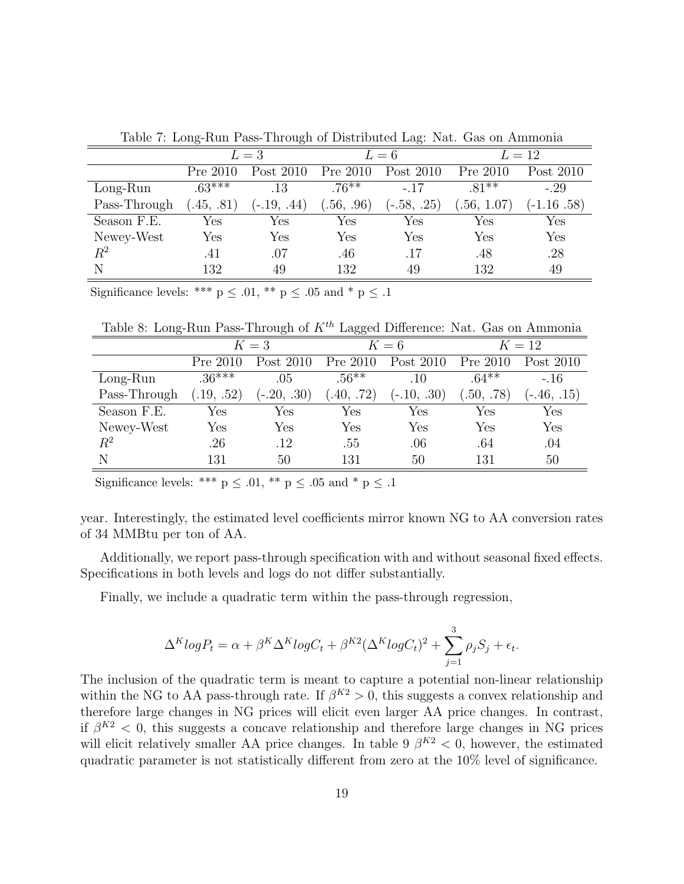|              | ◡                    | $\cup$        |           | $\checkmark$  |            |                      |
|--------------|----------------------|---------------|-----------|---------------|------------|----------------------|
|              | $L=3$                |               | $L=6$     |               | $L=12$     |                      |
|              | Pre 2010             | Post 2010     | Pre 2010  | Post 2010     | Pre 2010   | Post 2010            |
| $Long-Run$   | $.63***$             | .13           | $.76***$  | $-.17$        | $.81***$   | $-.29$               |
| Pass-Through | (45, .81)            | $(-.19, .44)$ | .56, .96) | $(-.58, .25)$ | .56, 1.07) | $-1.16.58$           |
| Season F.E.  | Yes                  | Yes           | Yes       | Yes           | Yes        | $\operatorname{Yes}$ |
| Newey-West   | $\operatorname{Yes}$ | Yes           | Yes       | Yes           | Yes        | $\operatorname{Yes}$ |
| $\,R^2$      | .41                  | .07           | .46       | .17           | .48        | .28                  |
| Ν            | 132                  | 49            | 132       | 49            | 132        | 49                   |

Table 7: Long-Run Pass-Through of Distributed Lag: Nat. Gas on Ammonia

Significance levels: \*\*\*  $p \leq .01$ , \*\*  $p \leq .05$  and \*  $p \leq .1$ 

Table 8: Long-Run Pass-Through of  $K^{th}$  Lagged Difference: Nat. Gas on Ammonia

|              | $K=3$       |               | $K=6$     |               | $K=12$     |                      |
|--------------|-------------|---------------|-----------|---------------|------------|----------------------|
|              | Pre 2010    | Post 2010     | Pre 2010  | Post 2010     | Pre 2010   | Post 2010            |
| $Long-Run$   | $.36***$    | .05           | $.56***$  | .10           | $.64***$   | $-.16$               |
| Pass-Through | (0.19, .52) | $(-.20, .30)$ | (40, .72) | $(-.10, .30)$ | (.50, .78) | $(-.46, .15)$        |
| Season F.E.  | Yes         | Yes           | Yes       | Yes           | Yes        | Yes                  |
| Newey-West   | Yes         | Yes           | Yes       | Yes           | Yes        | $\operatorname{Yes}$ |
| $R^2$        | .26         | .12           | .55       | .06           | .64        | .04                  |
| N            | 131         | 50            | 131       | 50            | 131        | 50                   |

Significance levels: \*\*\* p  $\leq$  .01, \*\* p  $\leq$  .05 and \* p  $\leq$  .1

year. Interestingly, the estimated level coefficients mirror known NG to AA conversion rates of 34 MMBtu per ton of AA.

Additionally, we report pass-through specification with and without seasonal fixed effects. Specifications in both levels and logs do not differ substantially.

Finally, we include a quadratic term within the pass-through regression,

$$
\Delta^K log P_t = \alpha + \beta^K \Delta^K log C_t + \beta^{K2} (\Delta^K log C_t)^2 + \sum_{j=1}^3 \rho_j S_j + \epsilon_t.
$$

The inclusion of the quadratic term is meant to capture a potential non-linear relationship within the NG to AA pass-through rate. If  $\beta^{K2} > 0$ , this suggests a convex relationship and therefore large changes in NG prices will elicit even larger AA price changes. In contrast, if  $\beta^{K2}$  < 0, this suggests a concave relationship and therefore large changes in NG prices will elicit relatively smaller AA price changes. In table 9  $\beta^{K2} < 0$ , however, the estimated quadratic parameter is not statistically different from zero at the 10% level of significance.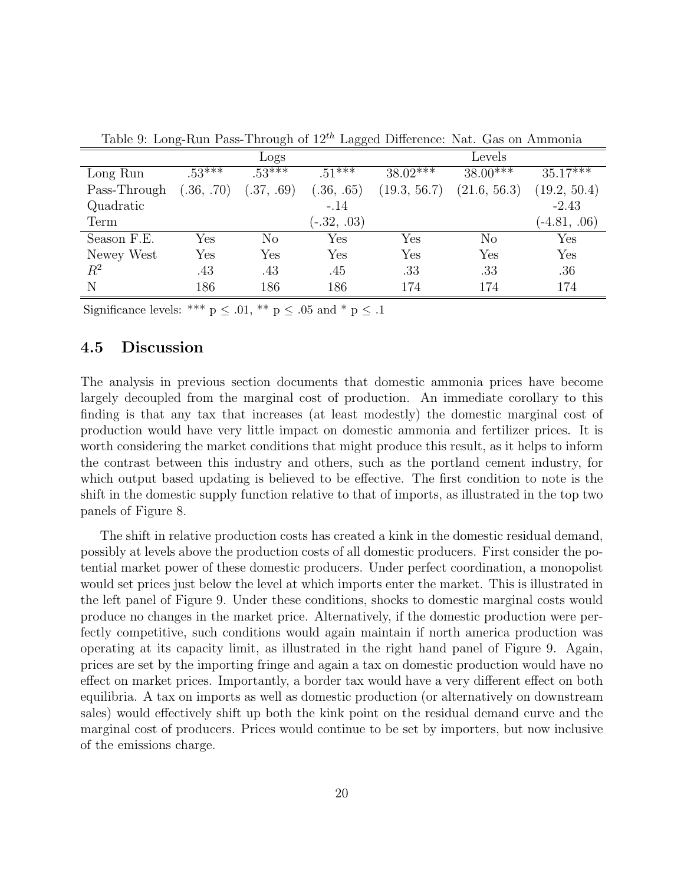|              |            | Logs           |               |                      | Levels               |                |
|--------------|------------|----------------|---------------|----------------------|----------------------|----------------|
| Long Run     | $.53***$   | $.53***$       | $.51***$      | $38.02***$           | $38.00***$           | $35.17***$     |
| Pass-Through | (.36, .70) | (.37, .69)     | (.36, .65)    | (19.3, 56.7)         | (21.6, 56.3)         | (19.2, 50.4)   |
| Quadratic    |            |                | $-.14$        |                      |                      | $-2.43$        |
| Term         |            |                | $(-.32, .03)$ |                      |                      | $(-4.81, .06)$ |
| Season F.E.  | Yes        | N <sub>o</sub> | Yes           | $\operatorname{Yes}$ | No                   | Yes            |
| Newey West   | Yes        | Yes            | Yes           | Yes                  | $\operatorname{Yes}$ | Yes            |
| $\,R^2$      | .43        | .43            | .45           | .33                  | .33                  | .36            |
| Ν            | 186        | 186            | 186           | 174                  | 174                  | 174            |

Table 9: Long-Run Pass-Through of  $12^{th}$  Lagged Difference: Nat. Gas on Ammonia

Significance levels: \*\*\*  $p \leq .01$ , \*\*  $p \leq .05$  and \*  $p \leq .1$ 

### 4.5 Discussion

The analysis in previous section documents that domestic ammonia prices have become largely decoupled from the marginal cost of production. An immediate corollary to this finding is that any tax that increases (at least modestly) the domestic marginal cost of production would have very little impact on domestic ammonia and fertilizer prices. It is worth considering the market conditions that might produce this result, as it helps to inform the contrast between this industry and others, such as the portland cement industry, for which output based updating is believed to be effective. The first condition to note is the shift in the domestic supply function relative to that of imports, as illustrated in the top two panels of Figure 8.

The shift in relative production costs has created a kink in the domestic residual demand, possibly at levels above the production costs of all domestic producers. First consider the potential market power of these domestic producers. Under perfect coordination, a monopolist would set prices just below the level at which imports enter the market. This is illustrated in the left panel of Figure 9. Under these conditions, shocks to domestic marginal costs would produce no changes in the market price. Alternatively, if the domestic production were perfectly competitive, such conditions would again maintain if north america production was operating at its capacity limit, as illustrated in the right hand panel of Figure 9. Again, prices are set by the importing fringe and again a tax on domestic production would have no effect on market prices. Importantly, a border tax would have a very different effect on both equilibria. A tax on imports as well as domestic production (or alternatively on downstream sales) would effectively shift up both the kink point on the residual demand curve and the marginal cost of producers. Prices would continue to be set by importers, but now inclusive of the emissions charge.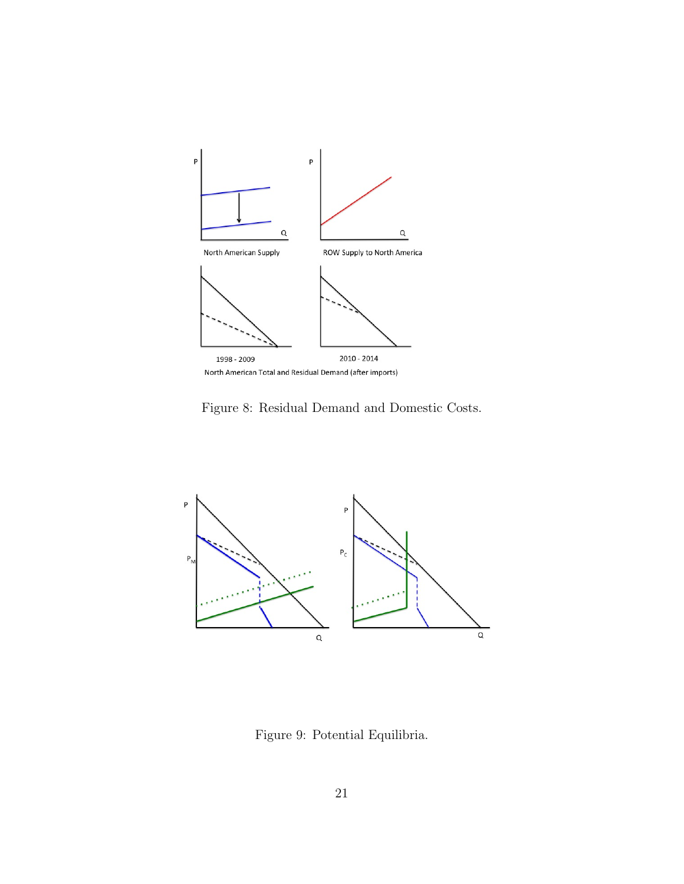

Figure 8: Residual Demand and Domestic Costs.



Figure 9: Potential Equilibria.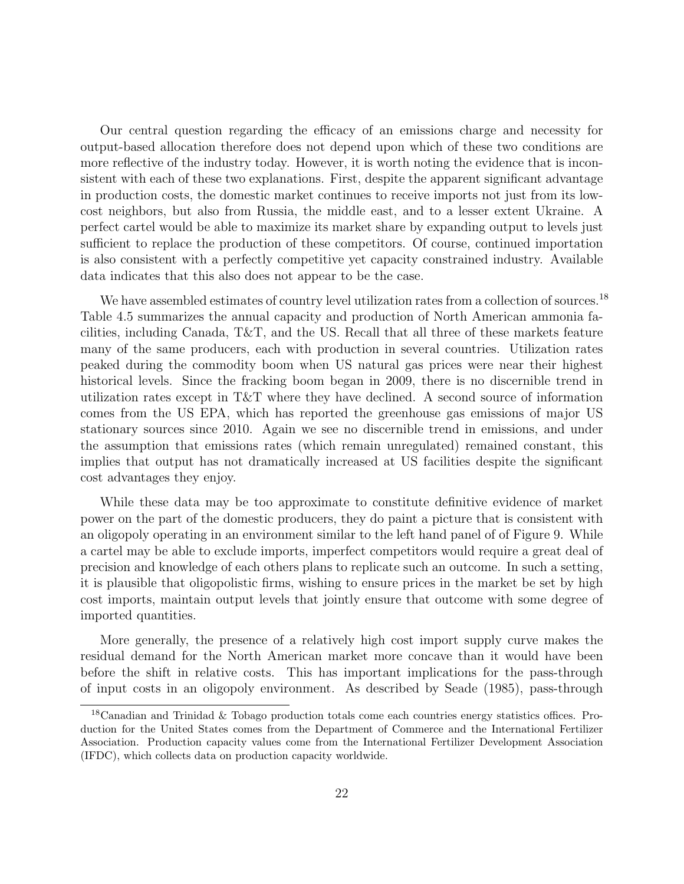Our central question regarding the efficacy of an emissions charge and necessity for output-based allocation therefore does not depend upon which of these two conditions are more reflective of the industry today. However, it is worth noting the evidence that is inconsistent with each of these two explanations. First, despite the apparent significant advantage in production costs, the domestic market continues to receive imports not just from its lowcost neighbors, but also from Russia, the middle east, and to a lesser extent Ukraine. A perfect cartel would be able to maximize its market share by expanding output to levels just sufficient to replace the production of these competitors. Of course, continued importation is also consistent with a perfectly competitive yet capacity constrained industry. Available data indicates that this also does not appear to be the case.

We have assembled estimates of country level utilization rates from a collection of sources.<sup>18</sup> Table 4.5 summarizes the annual capacity and production of North American ammonia facilities, including Canada, T&T, and the US. Recall that all three of these markets feature many of the same producers, each with production in several countries. Utilization rates peaked during the commodity boom when US natural gas prices were near their highest historical levels. Since the fracking boom began in 2009, there is no discernible trend in utilization rates except in T&T where they have declined. A second source of information comes from the US EPA, which has reported the greenhouse gas emissions of major US stationary sources since 2010. Again we see no discernible trend in emissions, and under the assumption that emissions rates (which remain unregulated) remained constant, this implies that output has not dramatically increased at US facilities despite the significant cost advantages they enjoy.

While these data may be too approximate to constitute definitive evidence of market power on the part of the domestic producers, they do paint a picture that is consistent with an oligopoly operating in an environment similar to the left hand panel of of Figure 9. While a cartel may be able to exclude imports, imperfect competitors would require a great deal of precision and knowledge of each others plans to replicate such an outcome. In such a setting, it is plausible that oligopolistic firms, wishing to ensure prices in the market be set by high cost imports, maintain output levels that jointly ensure that outcome with some degree of imported quantities.

More generally, the presence of a relatively high cost import supply curve makes the residual demand for the North American market more concave than it would have been before the shift in relative costs. This has important implications for the pass-through of input costs in an oligopoly environment. As described by Seade (1985), pass-through

<sup>18</sup>Canadian and Trinidad & Tobago production totals come each countries energy statistics offices. Production for the United States comes from the Department of Commerce and the International Fertilizer Association. Production capacity values come from the International Fertilizer Development Association (IFDC), which collects data on production capacity worldwide.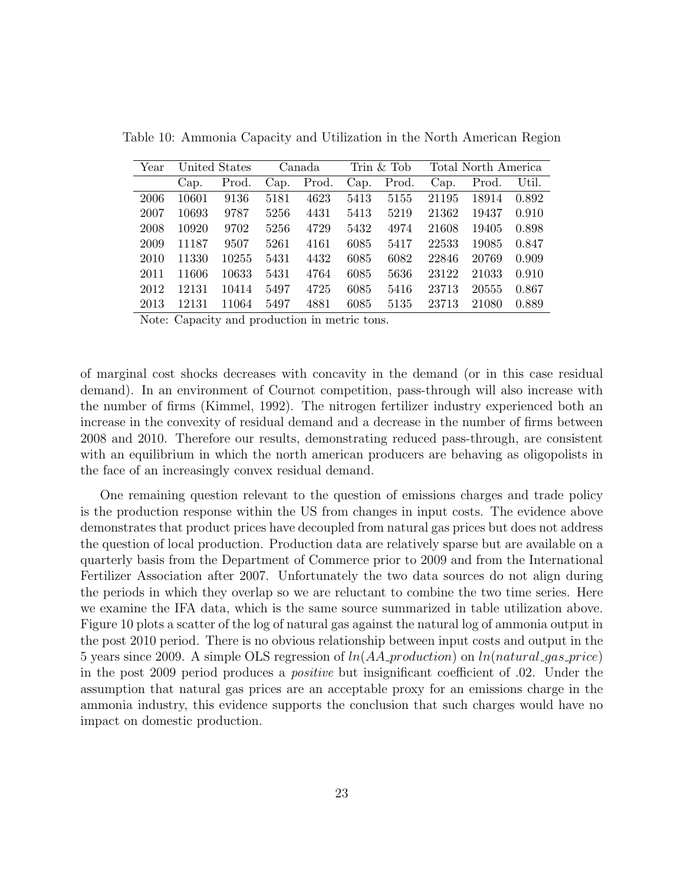| Year |       | United States |      | Canada |      | Trin $&$ Tob |       | Total North America |       |
|------|-------|---------------|------|--------|------|--------------|-------|---------------------|-------|
|      | Cap.  | Prod.         | Cap. | Prod.  | Cap. | Prod.        | Cap.  | Prod.               | Util. |
| 2006 | 10601 | 9136          | 5181 | 4623   | 5413 | 5155         | 21195 | 18914               | 0.892 |
| 2007 | 10693 | 9787          | 5256 | 4431   | 5413 | 5219         | 21362 | 19437               | 0.910 |
| 2008 | 10920 | 9702          | 5256 | 4729   | 5432 | 4974         | 21608 | 19405               | 0.898 |
| 2009 | 11187 | 9507          | 5261 | 4161   | 6085 | 5417         | 22533 | 19085               | 0.847 |
| 2010 | 11330 | 10255         | 5431 | 4432   | 6085 | 6082         | 22846 | 20769               | 0.909 |
| 2011 | 11606 | 10633         | 5431 | 4764   | 6085 | 5636         | 23122 | 21033               | 0.910 |
| 2012 | 12131 | 10414         | 5497 | 4725   | 6085 | 5416         | 23713 | 20555               | 0.867 |
| 2013 | 12131 | 11064         | 5497 | 4881   | 6085 | 5135         | 23713 | 21080               | 0.889 |

Table 10: Ammonia Capacity and Utilization in the North American Region

Note: Capacity and production in metric tons.

of marginal cost shocks decreases with concavity in the demand (or in this case residual demand). In an environment of Cournot competition, pass-through will also increase with the number of firms (Kimmel, 1992). The nitrogen fertilizer industry experienced both an increase in the convexity of residual demand and a decrease in the number of firms between 2008 and 2010. Therefore our results, demonstrating reduced pass-through, are consistent with an equilibrium in which the north american producers are behaving as oligopolists in the face of an increasingly convex residual demand.

One remaining question relevant to the question of emissions charges and trade policy is the production response within the US from changes in input costs. The evidence above demonstrates that product prices have decoupled from natural gas prices but does not address the question of local production. Production data are relatively sparse but are available on a quarterly basis from the Department of Commerce prior to 2009 and from the International Fertilizer Association after 2007. Unfortunately the two data sources do not align during the periods in which they overlap so we are reluctant to combine the two time series. Here we examine the IFA data, which is the same source summarized in table utilization above. Figure 10 plots a scatter of the log of natural gas against the natural log of ammonia output in the post 2010 period. There is no obvious relationship between input costs and output in the 5 years since 2009. A simple OLS regression of  $ln(AA_{\text{p}}$  *roduction*) on  $ln(natural_{\text{q}}$  *gas* price) in the post 2009 period produces a positive but insignificant coefficient of .02. Under the assumption that natural gas prices are an acceptable proxy for an emissions charge in the ammonia industry, this evidence supports the conclusion that such charges would have no impact on domestic production.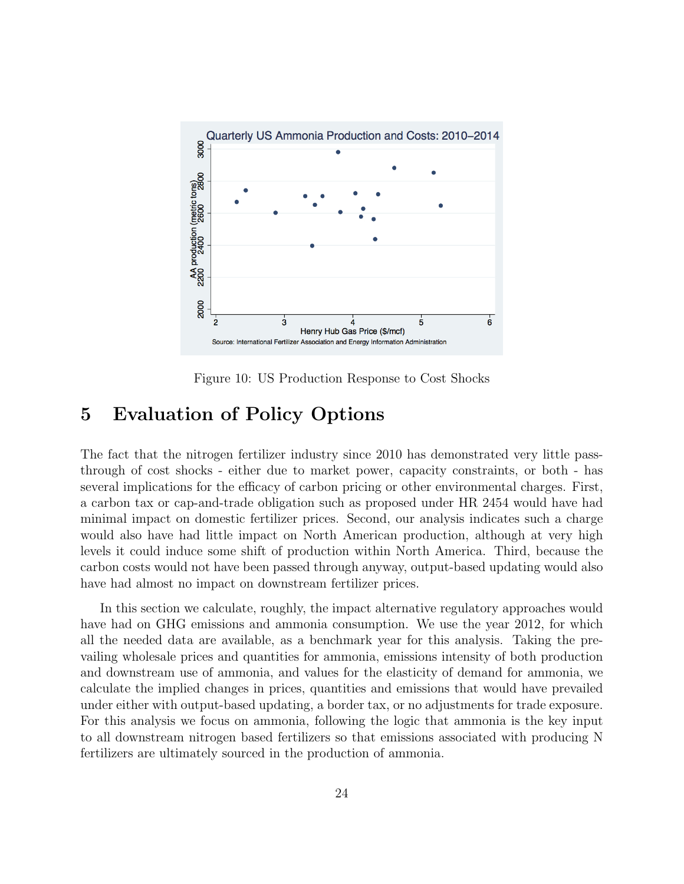

Figure 10: US Production Response to Cost Shocks

### 5 Evaluation of Policy Options

The fact that the nitrogen fertilizer industry since 2010 has demonstrated very little passthrough of cost shocks - either due to market power, capacity constraints, or both - has several implications for the efficacy of carbon pricing or other environmental charges. First, a carbon tax or cap-and-trade obligation such as proposed under HR 2454 would have had minimal impact on domestic fertilizer prices. Second, our analysis indicates such a charge would also have had little impact on North American production, although at very high levels it could induce some shift of production within North America. Third, because the carbon costs would not have been passed through anyway, output-based updating would also have had almost no impact on downstream fertilizer prices.

In this section we calculate, roughly, the impact alternative regulatory approaches would have had on GHG emissions and ammonia consumption. We use the year 2012, for which all the needed data are available, as a benchmark year for this analysis. Taking the prevailing wholesale prices and quantities for ammonia, emissions intensity of both production and downstream use of ammonia, and values for the elasticity of demand for ammonia, we calculate the implied changes in prices, quantities and emissions that would have prevailed under either with output-based updating, a border tax, or no adjustments for trade exposure. For this analysis we focus on ammonia, following the logic that ammonia is the key input to all downstream nitrogen based fertilizers so that emissions associated with producing N fertilizers are ultimately sourced in the production of ammonia.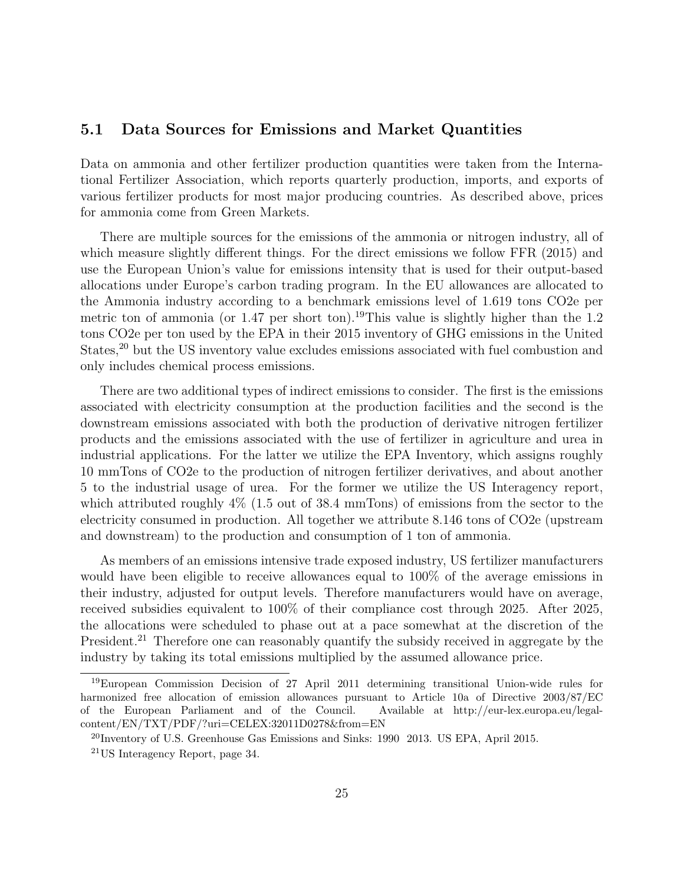#### 5.1 Data Sources for Emissions and Market Quantities

Data on ammonia and other fertilizer production quantities were taken from the International Fertilizer Association, which reports quarterly production, imports, and exports of various fertilizer products for most major producing countries. As described above, prices for ammonia come from Green Markets.

There are multiple sources for the emissions of the ammonia or nitrogen industry, all of which measure slightly different things. For the direct emissions we follow FFR (2015) and use the European Union's value for emissions intensity that is used for their output-based allocations under Europe's carbon trading program. In the EU allowances are allocated to the Ammonia industry according to a benchmark emissions level of 1.619 tons CO2e per metric ton of ammonia (or 1.47 per short ton).<sup>19</sup>This value is slightly higher than the 1.2 tons CO2e per ton used by the EPA in their 2015 inventory of GHG emissions in the United States,<sup>20</sup> but the US inventory value excludes emissions associated with fuel combustion and only includes chemical process emissions.

There are two additional types of indirect emissions to consider. The first is the emissions associated with electricity consumption at the production facilities and the second is the downstream emissions associated with both the production of derivative nitrogen fertilizer products and the emissions associated with the use of fertilizer in agriculture and urea in industrial applications. For the latter we utilize the EPA Inventory, which assigns roughly 10 mmTons of CO2e to the production of nitrogen fertilizer derivatives, and about another 5 to the industrial usage of urea. For the former we utilize the US Interagency report, which attributed roughly  $4\%$  (1.5 out of 38.4 mmTons) of emissions from the sector to the electricity consumed in production. All together we attribute 8.146 tons of CO2e (upstream and downstream) to the production and consumption of 1 ton of ammonia.

As members of an emissions intensive trade exposed industry, US fertilizer manufacturers would have been eligible to receive allowances equal to 100% of the average emissions in their industry, adjusted for output levels. Therefore manufacturers would have on average, received subsidies equivalent to 100% of their compliance cost through 2025. After 2025, the allocations were scheduled to phase out at a pace somewhat at the discretion of the President.<sup>21</sup> Therefore one can reasonably quantify the subsidy received in aggregate by the industry by taking its total emissions multiplied by the assumed allowance price.

<sup>19</sup>European Commission Decision of 27 April 2011 determining transitional Union-wide rules for harmonized free allocation of emission allowances pursuant to Article 10a of Directive 2003/87/EC of the European Parliament and of the Council. Available at http://eur-lex.europa.eu/legalcontent/EN/TXT/PDF/?uri=CELEX:32011D0278&from=EN

<sup>20</sup>Inventory of U.S. Greenhouse Gas Emissions and Sinks: 1990 2013. US EPA, April 2015.

<sup>21</sup>US Interagency Report, page 34.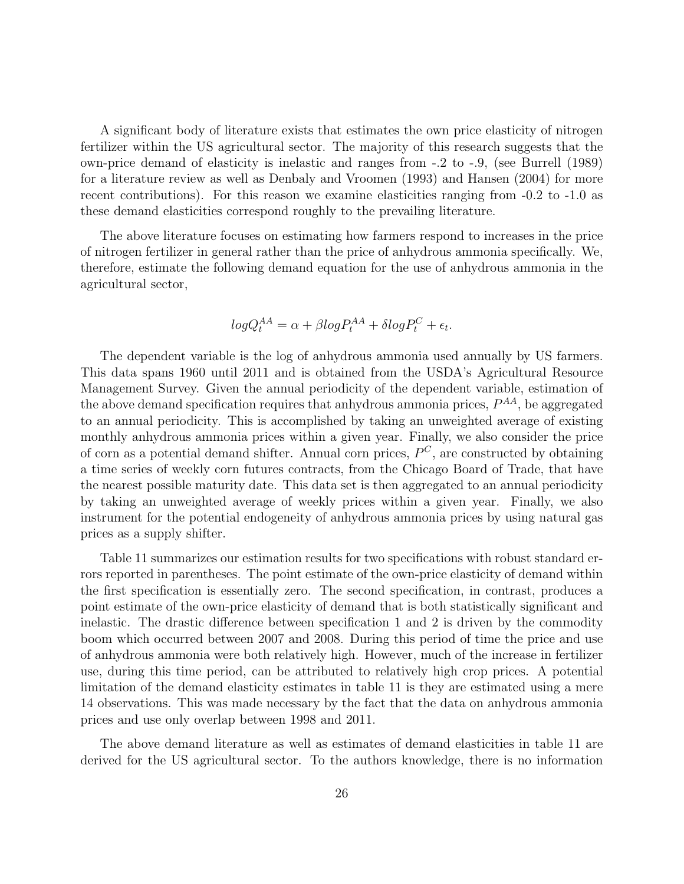A significant body of literature exists that estimates the own price elasticity of nitrogen fertilizer within the US agricultural sector. The majority of this research suggests that the own-price demand of elasticity is inelastic and ranges from -.2 to -.9, (see Burrell (1989) for a literature review as well as Denbaly and Vroomen (1993) and Hansen (2004) for more recent contributions). For this reason we examine elasticities ranging from -0.2 to -1.0 as these demand elasticities correspond roughly to the prevailing literature.

The above literature focuses on estimating how farmers respond to increases in the price of nitrogen fertilizer in general rather than the price of anhydrous ammonia specifically. We, therefore, estimate the following demand equation for the use of anhydrous ammonia in the agricultural sector,

$$
logQ_t^{AA} = \alpha + \beta logP_t^{AA} + \delta logP_t^C + \epsilon_t.
$$

The dependent variable is the log of anhydrous ammonia used annually by US farmers. This data spans 1960 until 2011 and is obtained from the USDA's Agricultural Resource Management Survey. Given the annual periodicity of the dependent variable, estimation of the above demand specification requires that anhydrous ammonia prices,  $P^{AA}$ , be aggregated to an annual periodicity. This is accomplished by taking an unweighted average of existing monthly anhydrous ammonia prices within a given year. Finally, we also consider the price of corn as a potential demand shifter. Annual corn prices,  $P^C$ , are constructed by obtaining a time series of weekly corn futures contracts, from the Chicago Board of Trade, that have the nearest possible maturity date. This data set is then aggregated to an annual periodicity by taking an unweighted average of weekly prices within a given year. Finally, we also instrument for the potential endogeneity of anhydrous ammonia prices by using natural gas prices as a supply shifter.

Table 11 summarizes our estimation results for two specifications with robust standard errors reported in parentheses. The point estimate of the own-price elasticity of demand within the first specification is essentially zero. The second specification, in contrast, produces a point estimate of the own-price elasticity of demand that is both statistically significant and inelastic. The drastic difference between specification 1 and 2 is driven by the commodity boom which occurred between 2007 and 2008. During this period of time the price and use of anhydrous ammonia were both relatively high. However, much of the increase in fertilizer use, during this time period, can be attributed to relatively high crop prices. A potential limitation of the demand elasticity estimates in table 11 is they are estimated using a mere 14 observations. This was made necessary by the fact that the data on anhydrous ammonia prices and use only overlap between 1998 and 2011.

The above demand literature as well as estimates of demand elasticities in table 11 are derived for the US agricultural sector. To the authors knowledge, there is no information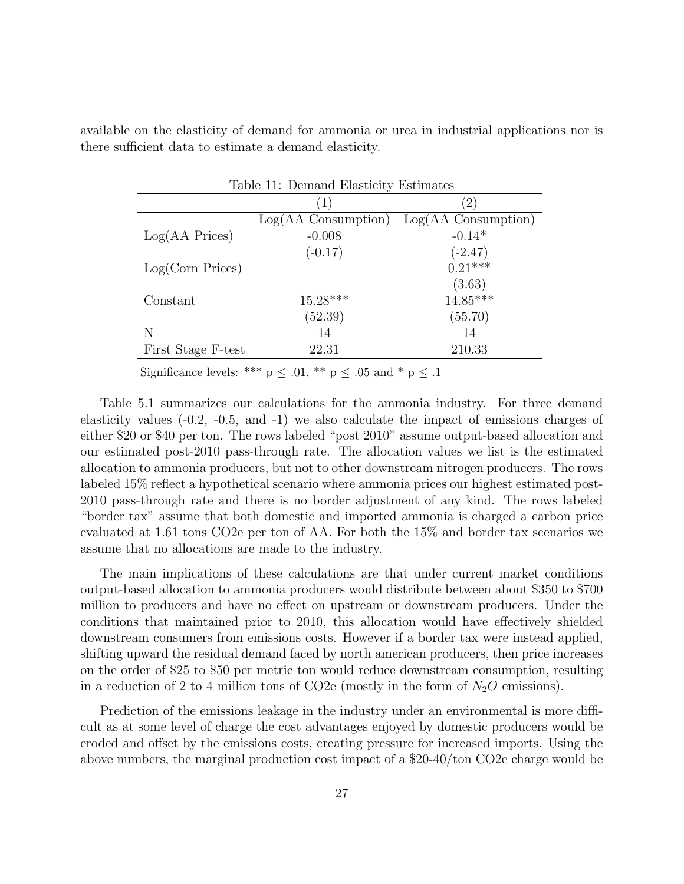available on the elasticity of demand for ammonia or urea in industrial applications nor is there sufficient data to estimate a demand elasticity.

| Table 11: Demand Elasticity Estimates |                               |  |  |  |  |  |
|---------------------------------------|-------------------------------|--|--|--|--|--|
| $\ket{1}$                             | $\left( 2\right)$             |  |  |  |  |  |
| $Log(AA \text{ Consumption})$         | $Log(AA \text{ Consumption})$ |  |  |  |  |  |
| $-0.008$                              | $-0.14*$                      |  |  |  |  |  |
| $(-0.17)$                             | $(-2.47)$                     |  |  |  |  |  |
|                                       | $0.21***$                     |  |  |  |  |  |
|                                       | $(3.63)$<br>14.85***          |  |  |  |  |  |
| $15.28***$                            |                               |  |  |  |  |  |
| (52.39)                               | (55.70)                       |  |  |  |  |  |
| 14                                    | 14                            |  |  |  |  |  |
| 22.31                                 | 210.33                        |  |  |  |  |  |
|                                       |                               |  |  |  |  |  |

Significance levels: \*\*\*  $p \leq .01$ , \*\*  $p \leq .05$  and \*  $p \leq .1$ 

Table 5.1 summarizes our calculations for the ammonia industry. For three demand elasticity values (-0.2, -0.5, and -1) we also calculate the impact of emissions charges of either \$20 or \$40 per ton. The rows labeled "post 2010" assume output-based allocation and our estimated post-2010 pass-through rate. The allocation values we list is the estimated allocation to ammonia producers, but not to other downstream nitrogen producers. The rows labeled 15% reflect a hypothetical scenario where ammonia prices our highest estimated post-2010 pass-through rate and there is no border adjustment of any kind. The rows labeled "border tax" assume that both domestic and imported ammonia is charged a carbon price evaluated at 1.61 tons CO2e per ton of AA. For both the 15% and border tax scenarios we assume that no allocations are made to the industry.

The main implications of these calculations are that under current market conditions output-based allocation to ammonia producers would distribute between about \$350 to \$700 million to producers and have no effect on upstream or downstream producers. Under the conditions that maintained prior to 2010, this allocation would have effectively shielded downstream consumers from emissions costs. However if a border tax were instead applied, shifting upward the residual demand faced by north american producers, then price increases on the order of \$25 to \$50 per metric ton would reduce downstream consumption, resulting in a reduction of 2 to 4 million tons of CO2e (mostly in the form of  $N_2O$  emissions).

Prediction of the emissions leakage in the industry under an environmental is more difficult as at some level of charge the cost advantages enjoyed by domestic producers would be eroded and offset by the emissions costs, creating pressure for increased imports. Using the above numbers, the marginal production cost impact of a \$20-40/ton CO2e charge would be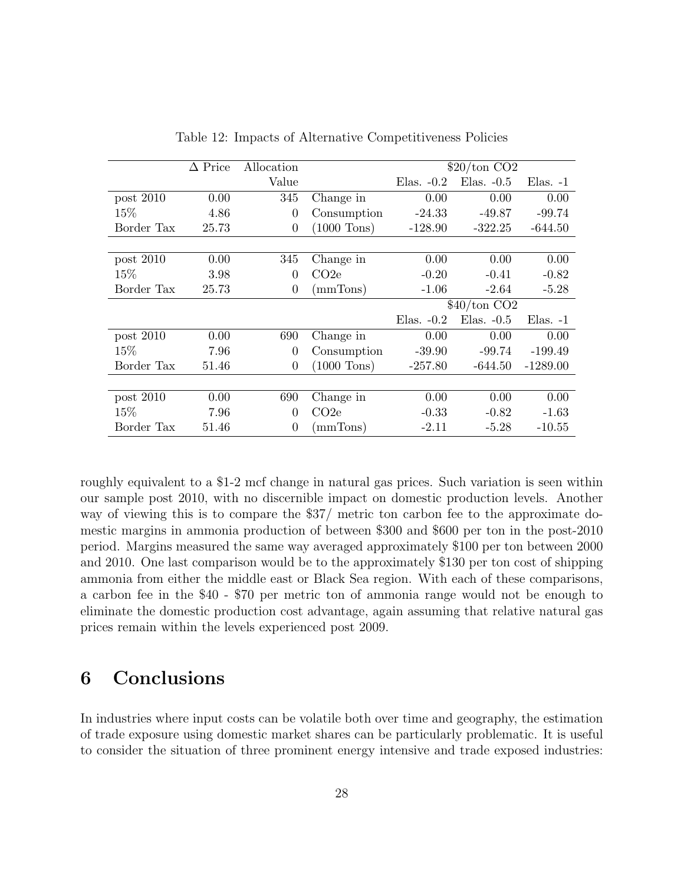|             | $\Delta$ Price | Allocation |                  | $$20/ton$ CO <sub>2</sub> |              |               |
|-------------|----------------|------------|------------------|---------------------------|--------------|---------------|
|             |                | Value      |                  | Elas. $-0.2$              | Elas. $-0.5$ | $E$ las. $-1$ |
| post $2010$ | 0.00           | 345        | Change in        | 0.00                      | 0.00         | 0.00          |
| 15\%        | 4.86           | $\Omega$   | Consumption      | $-24.33$                  | $-49.87$     | $-99.74$      |
| Border Tax  | 25.73          | $\theta$   | $(1000$ Tons)    | $-128.90$                 | $-322.25$    | $-644.50$     |
|             |                |            |                  |                           |              |               |
| post $2010$ | 0.00           | 345        | Change in        | 0.00                      | 0.00         | 0.00          |
| 15\%        | 3.98           | $\Omega$   | CO <sub>2e</sub> | $-0.20$                   | $-0.41$      | $-0.82$       |
| Border Tax  | 25.73          | $\theta$   | (mmTons)         | $-1.06$                   | $-2.64$      | $-5.28$       |
|             |                |            |                  | $$40/ton$ CO <sub>2</sub> |              |               |
|             |                |            |                  | Elas. $-0.2$              | Elas. $-0.5$ | $E$ las. $-1$ |
| post $2010$ | 0.00           | 690        | Change in        | 0.00                      | 0.00         | 0.00          |
| 15%         | 7.96           | $\theta$   | Consumption      | $-39.90$                  | $-99.74$     | $-199.49$     |
| Border Tax  | 51.46          | $\Omega$   | $(1000$ Tons)    | $-257.80$                 | $-644.50$    | $-1289.00$    |
|             |                |            |                  |                           |              |               |
| post $2010$ | 0.00           | 690        | Change in        | 0.00                      | 0.00         | 0.00          |
| 15\%        | 7.96           | $\theta$   | CO <sub>2e</sub> | $-0.33$                   | $-0.82$      | $-1.63$       |
| Border Tax  | 51.46          | $\Omega$   | (mmTons)         | $-2.11$                   | $-5.28$      | $-10.55$      |

Table 12: Impacts of Alternative Competitiveness Policies

roughly equivalent to a \$1-2 mcf change in natural gas prices. Such variation is seen within our sample post 2010, with no discernible impact on domestic production levels. Another way of viewing this is to compare the \$37/ metric ton carbon fee to the approximate domestic margins in ammonia production of between \$300 and \$600 per ton in the post-2010 period. Margins measured the same way averaged approximately \$100 per ton between 2000 and 2010. One last comparison would be to the approximately \$130 per ton cost of shipping ammonia from either the middle east or Black Sea region. With each of these comparisons, a carbon fee in the \$40 - \$70 per metric ton of ammonia range would not be enough to eliminate the domestic production cost advantage, again assuming that relative natural gas prices remain within the levels experienced post 2009.

## 6 Conclusions

In industries where input costs can be volatile both over time and geography, the estimation of trade exposure using domestic market shares can be particularly problematic. It is useful to consider the situation of three prominent energy intensive and trade exposed industries: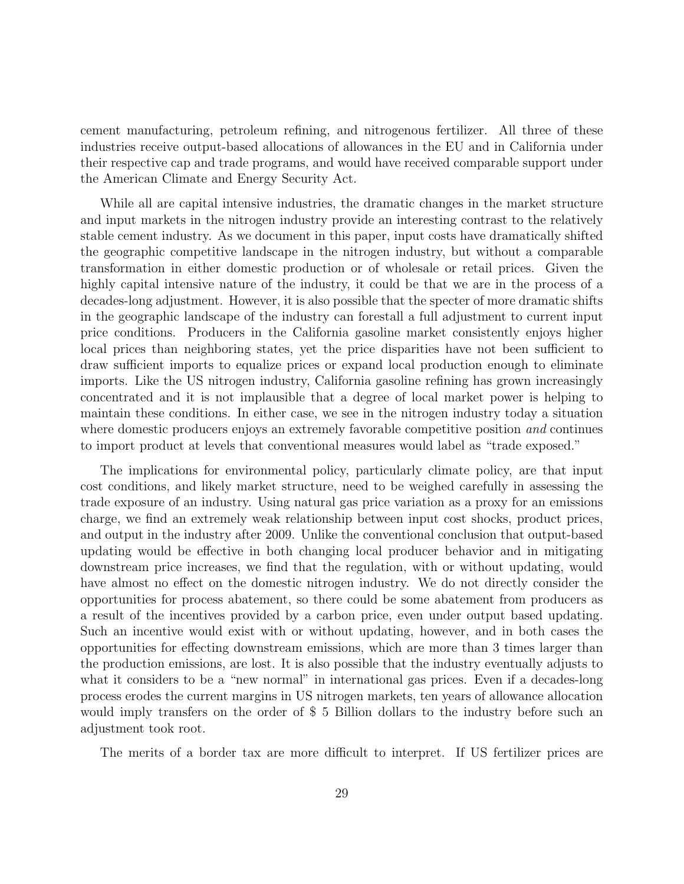cement manufacturing, petroleum refining, and nitrogenous fertilizer. All three of these industries receive output-based allocations of allowances in the EU and in California under their respective cap and trade programs, and would have received comparable support under the American Climate and Energy Security Act.

While all are capital intensive industries, the dramatic changes in the market structure and input markets in the nitrogen industry provide an interesting contrast to the relatively stable cement industry. As we document in this paper, input costs have dramatically shifted the geographic competitive landscape in the nitrogen industry, but without a comparable transformation in either domestic production or of wholesale or retail prices. Given the highly capital intensive nature of the industry, it could be that we are in the process of a decades-long adjustment. However, it is also possible that the specter of more dramatic shifts in the geographic landscape of the industry can forestall a full adjustment to current input price conditions. Producers in the California gasoline market consistently enjoys higher local prices than neighboring states, yet the price disparities have not been sufficient to draw sufficient imports to equalize prices or expand local production enough to eliminate imports. Like the US nitrogen industry, California gasoline refining has grown increasingly concentrated and it is not implausible that a degree of local market power is helping to maintain these conditions. In either case, we see in the nitrogen industry today a situation where domestic producers enjoys an extremely favorable competitive position and continues to import product at levels that conventional measures would label as "trade exposed."

The implications for environmental policy, particularly climate policy, are that input cost conditions, and likely market structure, need to be weighed carefully in assessing the trade exposure of an industry. Using natural gas price variation as a proxy for an emissions charge, we find an extremely weak relationship between input cost shocks, product prices, and output in the industry after 2009. Unlike the conventional conclusion that output-based updating would be effective in both changing local producer behavior and in mitigating downstream price increases, we find that the regulation, with or without updating, would have almost no effect on the domestic nitrogen industry. We do not directly consider the opportunities for process abatement, so there could be some abatement from producers as a result of the incentives provided by a carbon price, even under output based updating. Such an incentive would exist with or without updating, however, and in both cases the opportunities for effecting downstream emissions, which are more than 3 times larger than the production emissions, are lost. It is also possible that the industry eventually adjusts to what it considers to be a "new normal" in international gas prices. Even if a decades-long process erodes the current margins in US nitrogen markets, ten years of allowance allocation would imply transfers on the order of \$ 5 Billion dollars to the industry before such an adjustment took root.

The merits of a border tax are more difficult to interpret. If US fertilizer prices are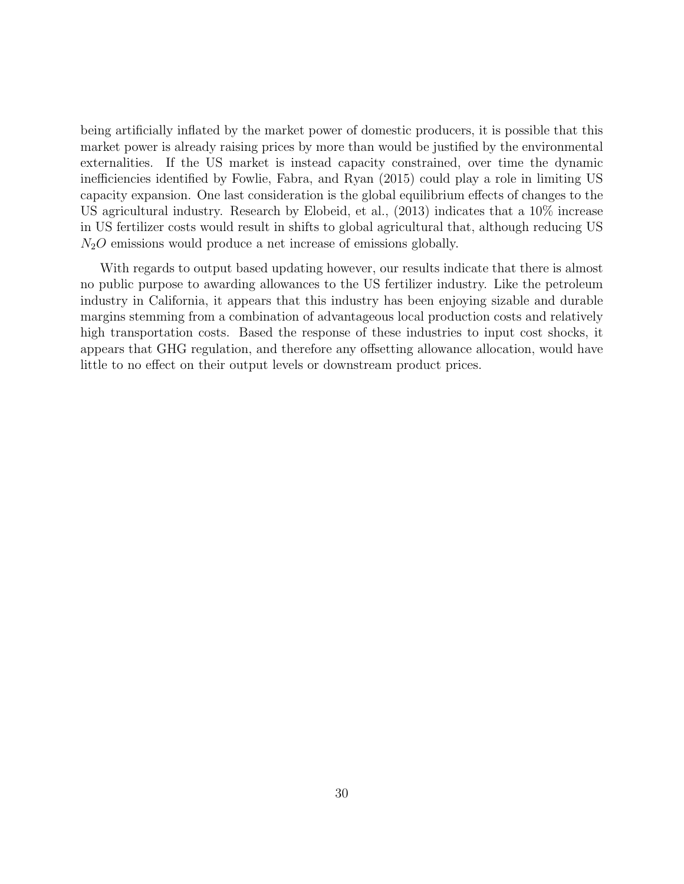being artificially inflated by the market power of domestic producers, it is possible that this market power is already raising prices by more than would be justified by the environmental externalities. If the US market is instead capacity constrained, over time the dynamic inefficiencies identified by Fowlie, Fabra, and Ryan (2015) could play a role in limiting US capacity expansion. One last consideration is the global equilibrium effects of changes to the US agricultural industry. Research by Elobeid, et al., (2013) indicates that a 10% increase in US fertilizer costs would result in shifts to global agricultural that, although reducing US  $N_2O$  emissions would produce a net increase of emissions globally.

With regards to output based updating however, our results indicate that there is almost no public purpose to awarding allowances to the US fertilizer industry. Like the petroleum industry in California, it appears that this industry has been enjoying sizable and durable margins stemming from a combination of advantageous local production costs and relatively high transportation costs. Based the response of these industries to input cost shocks, it appears that GHG regulation, and therefore any offsetting allowance allocation, would have little to no effect on their output levels or downstream product prices.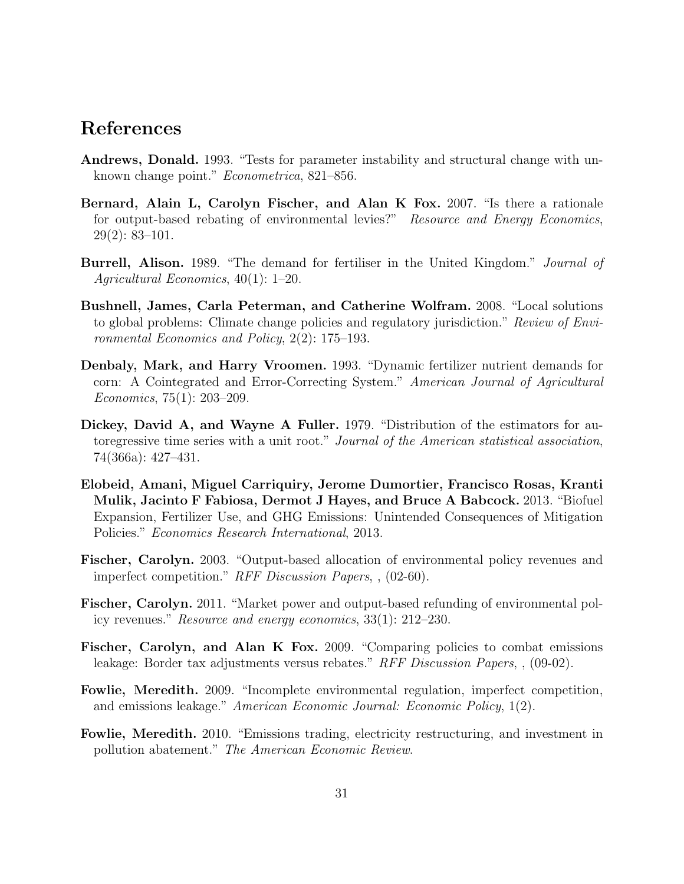### References

- Andrews, Donald. 1993. "Tests for parameter instability and structural change with unknown change point." Econometrica, 821–856.
- Bernard, Alain L, Carolyn Fischer, and Alan K Fox. 2007. "Is there a rationale for output-based rebating of environmental levies?" Resource and Energy Economics, 29(2): 83–101.
- Burrell, Alison. 1989. "The demand for fertiliser in the United Kingdom." Journal of Agricultural Economics, 40(1): 1–20.
- Bushnell, James, Carla Peterman, and Catherine Wolfram. 2008. "Local solutions to global problems: Climate change policies and regulatory jurisdiction." Review of Environmental Economics and Policy, 2(2): 175–193.
- Denbaly, Mark, and Harry Vroomen. 1993. "Dynamic fertilizer nutrient demands for corn: A Cointegrated and Error-Correcting System." American Journal of Agricultural Economics, 75(1): 203–209.
- Dickey, David A, and Wayne A Fuller. 1979. "Distribution of the estimators for autoregressive time series with a unit root." Journal of the American statistical association, 74(366a): 427–431.
- Elobeid, Amani, Miguel Carriquiry, Jerome Dumortier, Francisco Rosas, Kranti Mulik, Jacinto F Fabiosa, Dermot J Hayes, and Bruce A Babcock. 2013. "Biofuel Expansion, Fertilizer Use, and GHG Emissions: Unintended Consequences of Mitigation Policies." Economics Research International, 2013.
- Fischer, Carolyn. 2003. "Output-based allocation of environmental policy revenues and imperfect competition." RFF Discussion Papers, , (02-60).
- Fischer, Carolyn. 2011. "Market power and output-based refunding of environmental policy revenues." Resource and energy economics, 33(1): 212–230.
- Fischer, Carolyn, and Alan K Fox. 2009. "Comparing policies to combat emissions leakage: Border tax adjustments versus rebates." RFF Discussion Papers, , (09-02).
- Fowlie, Meredith. 2009. "Incomplete environmental regulation, imperfect competition, and emissions leakage." American Economic Journal: Economic Policy, 1(2).
- Fowlie, Meredith. 2010. "Emissions trading, electricity restructuring, and investment in pollution abatement." The American Economic Review.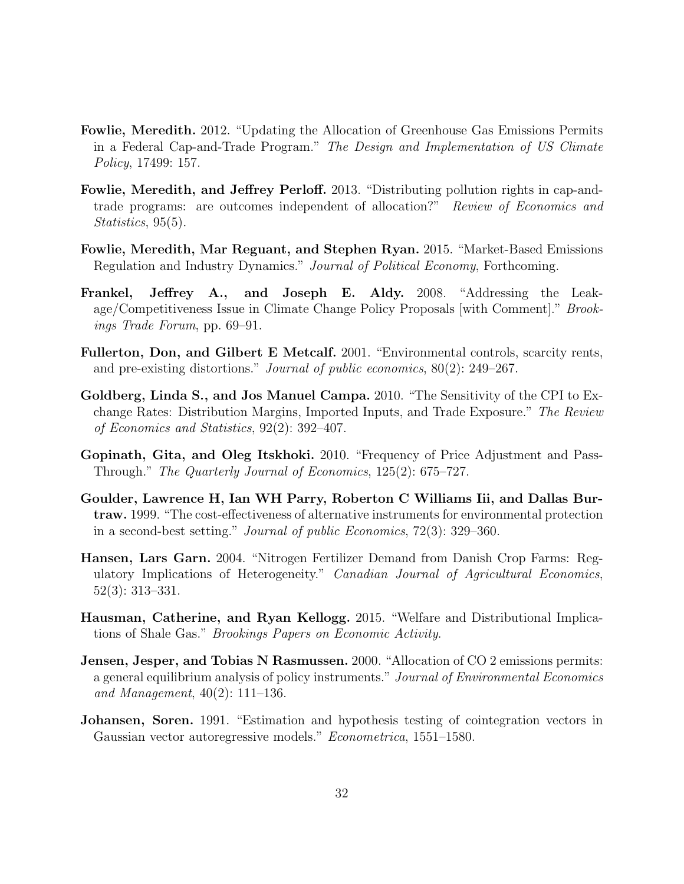- Fowlie, Meredith. 2012. "Updating the Allocation of Greenhouse Gas Emissions Permits in a Federal Cap-and-Trade Program." The Design and Implementation of US Climate Policy, 17499: 157.
- Fowlie, Meredith, and Jeffrey Perloff. 2013. "Distributing pollution rights in cap-andtrade programs: are outcomes independent of allocation?" Review of Economics and Statistics, 95(5).
- Fowlie, Meredith, Mar Reguant, and Stephen Ryan. 2015. "Market-Based Emissions Regulation and Industry Dynamics." Journal of Political Economy, Forthcoming.
- Frankel, Jeffrey A., and Joseph E. Aldy. 2008. "Addressing the Leakage/Competitiveness Issue in Climate Change Policy Proposals [with Comment]." Brookings Trade Forum, pp. 69–91.
- Fullerton, Don, and Gilbert E Metcalf. 2001. "Environmental controls, scarcity rents, and pre-existing distortions." Journal of public economics, 80(2): 249–267.
- Goldberg, Linda S., and Jos Manuel Campa. 2010. "The Sensitivity of the CPI to Exchange Rates: Distribution Margins, Imported Inputs, and Trade Exposure." The Review of Economics and Statistics, 92(2): 392–407.
- Gopinath, Gita, and Oleg Itskhoki. 2010. "Frequency of Price Adjustment and Pass-Through." The Quarterly Journal of Economics, 125(2): 675–727.
- Goulder, Lawrence H, Ian WH Parry, Roberton C Williams Iii, and Dallas Burtraw. 1999. "The cost-effectiveness of alternative instruments for environmental protection in a second-best setting." Journal of public Economics, 72(3): 329–360.
- Hansen, Lars Garn. 2004. "Nitrogen Fertilizer Demand from Danish Crop Farms: Regulatory Implications of Heterogeneity." Canadian Journal of Agricultural Economics, 52(3): 313–331.
- Hausman, Catherine, and Ryan Kellogg. 2015. "Welfare and Distributional Implications of Shale Gas." Brookings Papers on Economic Activity.
- Jensen, Jesper, and Tobias N Rasmussen. 2000. "Allocation of CO 2 emissions permits: a general equilibrium analysis of policy instruments." Journal of Environmental Economics and Management, 40(2): 111–136.
- Johansen, Soren. 1991. "Estimation and hypothesis testing of cointegration vectors in Gaussian vector autoregressive models." Econometrica, 1551–1580.